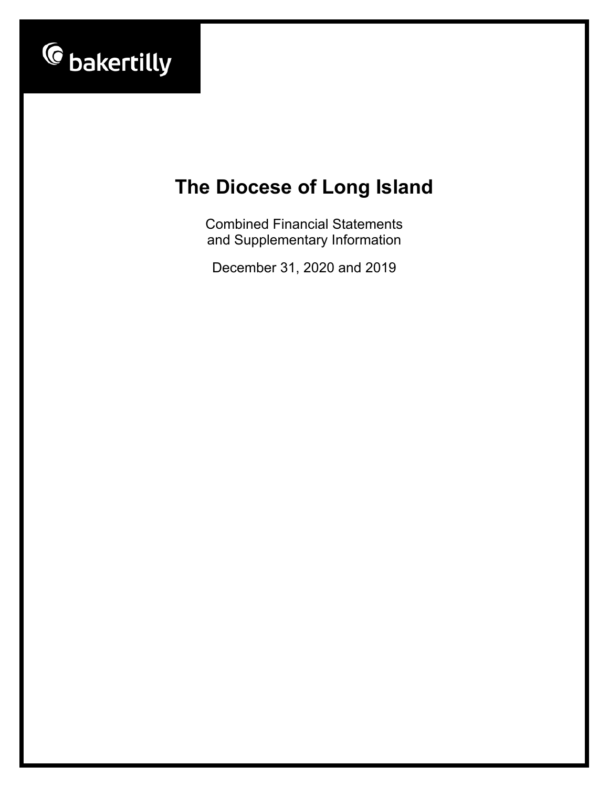

Combined Financial Statements and Supplementary Information

December 31, 2020 and 2019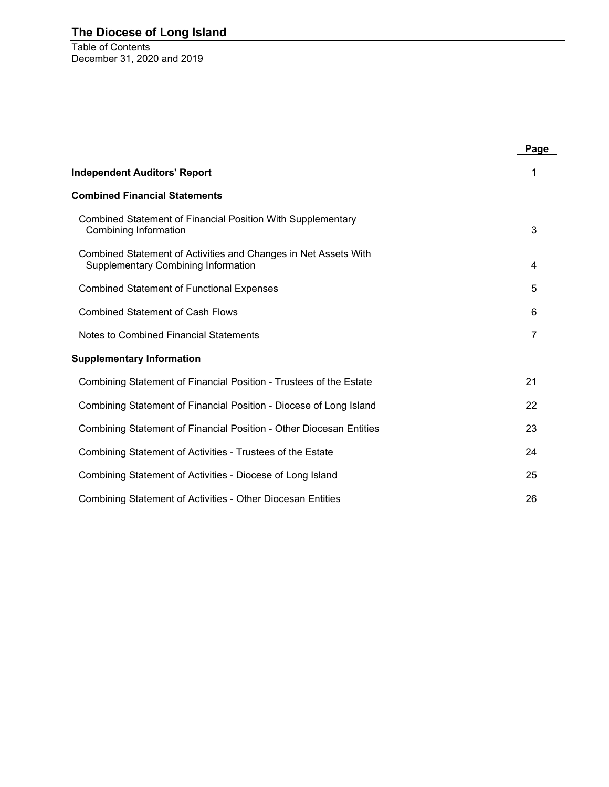Table of Contents December 31, 2020 and 2019

|                                                                                                               | Page           |
|---------------------------------------------------------------------------------------------------------------|----------------|
| <b>Independent Auditors' Report</b>                                                                           |                |
| <b>Combined Financial Statements</b>                                                                          |                |
| Combined Statement of Financial Position With Supplementary<br>Combining Information                          | 3              |
| Combined Statement of Activities and Changes in Net Assets With<br><b>Supplementary Combining Information</b> | 4              |
| <b>Combined Statement of Functional Expenses</b>                                                              | 5              |
| <b>Combined Statement of Cash Flows</b>                                                                       | 6              |
| Notes to Combined Financial Statements                                                                        | $\overline{7}$ |
| <b>Supplementary Information</b>                                                                              |                |
| Combining Statement of Financial Position - Trustees of the Estate                                            | 21             |
| Combining Statement of Financial Position - Diocese of Long Island                                            | 22             |
| Combining Statement of Financial Position - Other Diocesan Entities                                           | 23             |
| Combining Statement of Activities - Trustees of the Estate                                                    | 24             |
| Combining Statement of Activities - Diocese of Long Island                                                    | 25             |
| Combining Statement of Activities - Other Diocesan Entities                                                   | 26             |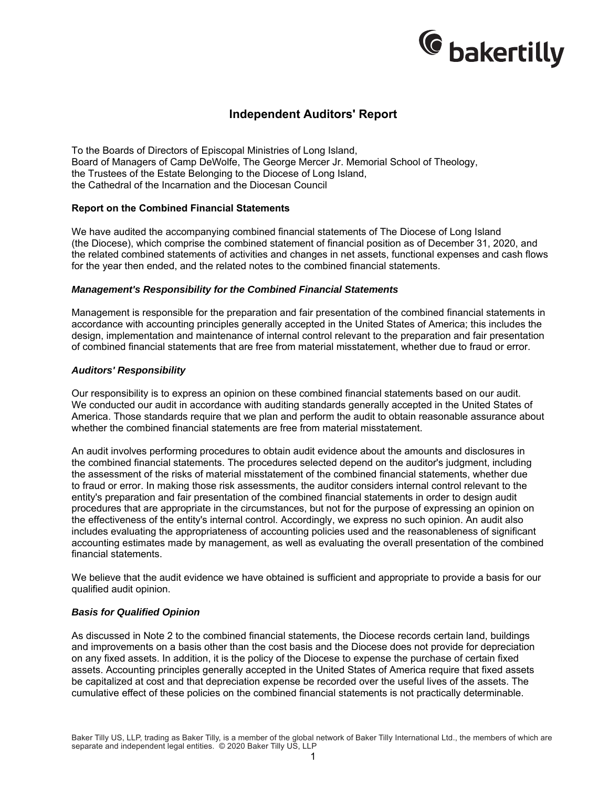

### **Independent Auditors' Report**

To the Boards of Directors of Episcopal Ministries of Long Island, Board of Managers of Camp DeWolfe, The George Mercer Jr. Memorial School of Theology, the Trustees of the Estate Belonging to the Diocese of Long Island, the Cathedral of the Incarnation and the Diocesan Council

#### **Report on the Combined Financial Statements**

We have audited the accompanying combined financial statements of The Diocese of Long Island (the Diocese), which comprise the combined statement of financial position as of December 31, 2020, and the related combined statements of activities and changes in net assets, functional expenses and cash flows for the year then ended, and the related notes to the combined financial statements.

#### *Management's Responsibility for the Combined Financial Statements*

Management is responsible for the preparation and fair presentation of the combined financial statements in accordance with accounting principles generally accepted in the United States of America; this includes the design, implementation and maintenance of internal control relevant to the preparation and fair presentation of combined financial statements that are free from material misstatement, whether due to fraud or error.

#### *Auditors' Responsibility*

Our responsibility is to express an opinion on these combined financial statements based on our audit. We conducted our audit in accordance with auditing standards generally accepted in the United States of America. Those standards require that we plan and perform the audit to obtain reasonable assurance about whether the combined financial statements are free from material misstatement.

An audit involves performing procedures to obtain audit evidence about the amounts and disclosures in the combined financial statements. The procedures selected depend on the auditor's judgment, including the assessment of the risks of material misstatement of the combined financial statements, whether due to fraud or error. In making those risk assessments, the auditor considers internal control relevant to the entity's preparation and fair presentation of the combined financial statements in order to design audit procedures that are appropriate in the circumstances, but not for the purpose of expressing an opinion on the effectiveness of the entity's internal control. Accordingly, we express no such opinion. An audit also includes evaluating the appropriateness of accounting policies used and the reasonableness of significant accounting estimates made by management, as well as evaluating the overall presentation of the combined financial statements.

We believe that the audit evidence we have obtained is sufficient and appropriate to provide a basis for our qualified audit opinion.

#### *Basis for Qualified Opinion*

As discussed in Note 2 to the combined financial statements, the Diocese records certain land, buildings and improvements on a basis other than the cost basis and the Diocese does not provide for depreciation on any fixed assets. In addition, it is the policy of the Diocese to expense the purchase of certain fixed assets. Accounting principles generally accepted in the United States of America require that fixed assets be capitalized at cost and that depreciation expense be recorded over the useful lives of the assets. The cumulative effect of these policies on the combined financial statements is not practically determinable.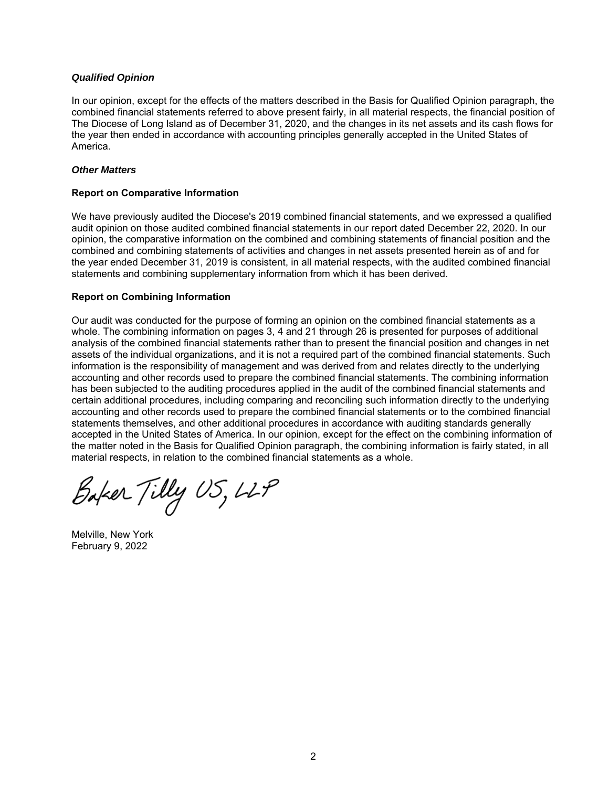#### *Qualified Opinion*

In our opinion, except for the effects of the matters described in the Basis for Qualified Opinion paragraph, the combined financial statements referred to above present fairly, in all material respects, the financial position of The Diocese of Long Island as of December 31, 2020, and the changes in its net assets and its cash flows for the year then ended in accordance with accounting principles generally accepted in the United States of America.

#### *Other Matters*

#### **Report on Comparative Information**

We have previously audited the Diocese's 2019 combined financial statements, and we expressed a qualified audit opinion on those audited combined financial statements in our report dated December 22, 2020. In our opinion, the comparative information on the combined and combining statements of financial position and the combined and combining statements of activities and changes in net assets presented herein as of and for the year ended December 31, 2019 is consistent, in all material respects, with the audited combined financial statements and combining supplementary information from which it has been derived.

#### **Report on Combining Information**

Our audit was conducted for the purpose of forming an opinion on the combined financial statements as a whole. The combining information on pages 3, 4 and 21 through 26 is presented for purposes of additional analysis of the combined financial statements rather than to present the financial position and changes in net assets of the individual organizations, and it is not a required part of the combined financial statements. Such information is the responsibility of management and was derived from and relates directly to the underlying accounting and other records used to prepare the combined financial statements. The combining information has been subjected to the auditing procedures applied in the audit of the combined financial statements and certain additional procedures, including comparing and reconciling such information directly to the underlying accounting and other records used to prepare the combined financial statements or to the combined financial statements themselves, and other additional procedures in accordance with auditing standards generally accepted in the United States of America. In our opinion, except for the effect on the combining information of the matter noted in the Basis for Qualified Opinion paragraph, the combining information is fairly stated, in all material respects, in relation to the combined financial statements as a whole.

Baker Tilly US, LLP

Melville, New York February 9, 2022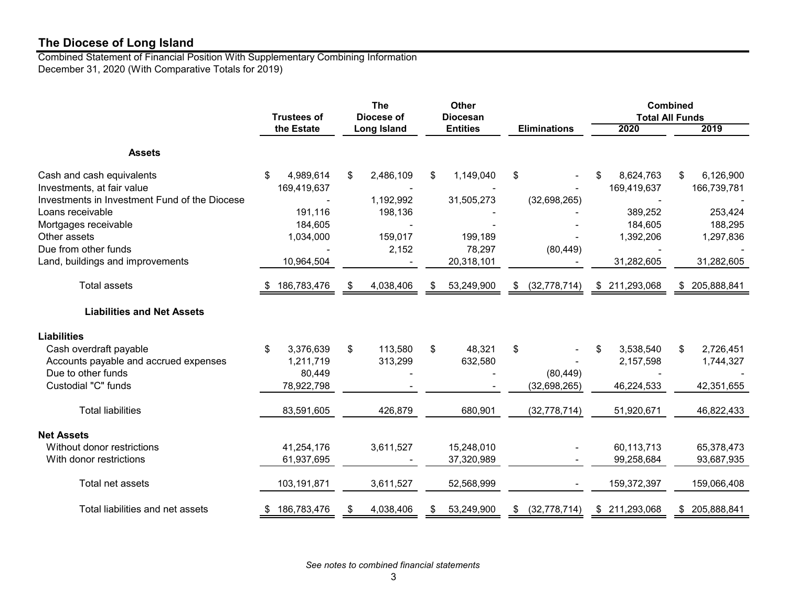Combined Statement of Financial Position With Supplementary Combining Information December 31, 2020 (With Comparative Totals for 2019)

|                                                                                                          | <b>Trustees of</b>              |    | <b>The</b><br>Diocese of |    | Other<br><b>Diocesan</b> |                      |    |                                 | <b>Combined</b><br><b>Total All Funds</b> |                                 |
|----------------------------------------------------------------------------------------------------------|---------------------------------|----|--------------------------|----|--------------------------|----------------------|----|---------------------------------|-------------------------------------------|---------------------------------|
|                                                                                                          | the Estate                      |    | <b>Long Island</b>       |    | <b>Entities</b>          | <b>Eliminations</b>  |    | 2020                            |                                           | 2019                            |
| <b>Assets</b>                                                                                            |                                 |    |                          |    |                          |                      |    |                                 |                                           |                                 |
| Cash and cash equivalents<br>Investments, at fair value<br>Investments in Investment Fund of the Diocese | 4,989,614<br>\$<br>169,419,637  | \$ | 2,486,109<br>1,192,992   | \$ | 1,149,040<br>31,505,273  | \$<br>(32,698,265)   | \$ | 8,624,763<br>169,419,637        | \$                                        | 6,126,900<br>166,739,781        |
| Loans receivable<br>Mortgages receivable<br>Other assets                                                 | 191,116<br>184,605<br>1,034,000 |    | 198,136<br>159,017       |    | 199,189                  |                      |    | 389,252<br>184,605<br>1,392,206 |                                           | 253,424<br>188,295<br>1,297,836 |
| Due from other funds<br>Land, buildings and improvements                                                 | 10,964,504                      |    | 2,152                    |    | 78,297<br>20,318,101     | (80, 449)            |    | 31,282,605                      |                                           | 31,282,605                      |
| <b>Total assets</b>                                                                                      | 186,783,476                     | \$ | 4,038,406                | S  | 53,249,900               | (32, 778, 714)<br>\$ |    | \$ 211,293,068                  |                                           | \$205,888,841                   |
| <b>Liabilities and Net Assets</b>                                                                        |                                 |    |                          |    |                          |                      |    |                                 |                                           |                                 |
| <b>Liabilities</b><br>Cash overdraft payable                                                             | 3,376,639<br>\$                 | \$ | 113,580                  | \$ | 48,321                   | \$                   | \$ | 3,538,540                       | \$                                        | 2,726,451                       |
| Accounts payable and accrued expenses<br>Due to other funds                                              | 1,211,719<br>80,449             |    | 313,299                  |    | 632,580                  | (80, 449)            |    | 2,157,598                       |                                           | 1,744,327                       |
| Custodial "C" funds                                                                                      | 78,922,798                      |    |                          |    |                          | (32, 698, 265)       |    | 46,224,533                      |                                           | 42,351,655                      |
| <b>Total liabilities</b>                                                                                 | 83,591,605                      |    | 426,879                  |    | 680,901                  | (32, 778, 714)       |    | 51,920,671                      |                                           | 46,822,433                      |
| <b>Net Assets</b><br>Without donor restrictions                                                          | 41,254,176                      |    | 3,611,527                |    | 15,248,010               |                      |    | 60,113,713                      |                                           | 65,378,473                      |
| With donor restrictions                                                                                  | 61,937,695                      |    |                          |    | 37,320,989               |                      |    | 99,258,684                      |                                           | 93,687,935                      |
| Total net assets                                                                                         | 103,191,871                     |    | 3,611,527                |    | 52,568,999               |                      |    | 159,372,397                     |                                           | 159,066,408                     |
| Total liabilities and net assets                                                                         | 186,783,476                     | S  | 4,038,406                |    | 53,249,900               | (32, 778, 714)       |    | \$211,293,068                   | \$                                        | 205,888,841                     |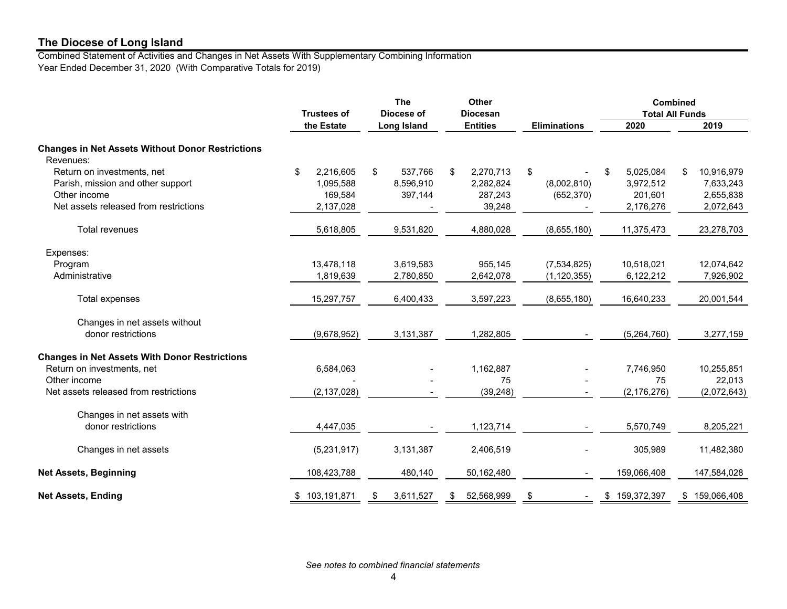Combined Statement of Activities and Changes in Net Assets With Supplementary Combining Information Year Ended December 31, 2020 (With Comparative Totals for 2019)

|                                                                      | <b>Trustees of</b> |  | Other<br><b>The</b><br>Diocese of<br><b>Diocesan</b> |    |                 |                     |                 | <b>Combined</b><br><b>Total All Funds</b> |               |
|----------------------------------------------------------------------|--------------------|--|------------------------------------------------------|----|-----------------|---------------------|-----------------|-------------------------------------------|---------------|
|                                                                      | the Estate         |  | <b>Long Island</b>                                   |    | <b>Entities</b> | <b>Eliminations</b> | 2020            |                                           | 2019          |
| <b>Changes in Net Assets Without Donor Restrictions</b><br>Revenues: |                    |  |                                                      |    |                 |                     |                 |                                           |               |
| Return on investments, net                                           | \$<br>2,216,605    |  | \$<br>537,766                                        | \$ | 2,270,713       | \$                  | 5,025,084<br>\$ | \$                                        | 10,916,979    |
| Parish, mission and other support                                    | 1,095,588          |  | 8,596,910                                            |    | 2,282,824       | (8,002,810)         | 3,972,512       |                                           | 7,633,243     |
| Other income                                                         | 169,584            |  | 397,144                                              |    | 287,243         | (652, 370)          | 201,601         |                                           | 2,655,838     |
| Net assets released from restrictions                                | 2,137,028          |  |                                                      |    | 39,248          |                     | 2,176,276       |                                           | 2,072,643     |
| Total revenues                                                       | 5,618,805          |  | 9,531,820                                            |    | 4,880,028       | (8,655,180)         | 11,375,473      |                                           | 23,278,703    |
| Expenses:                                                            |                    |  |                                                      |    |                 |                     |                 |                                           |               |
| Program                                                              | 13,478,118         |  | 3,619,583                                            |    | 955,145         | (7,534,825)         | 10,518,021      |                                           | 12,074,642    |
| Administrative                                                       | 1,819,639          |  | 2,780,850                                            |    | 2,642,078       | (1, 120, 355)       | 6,122,212       |                                           | 7,926,902     |
| Total expenses                                                       | 15,297,757         |  | 6,400,433                                            |    | 3,597,223       | (8,655,180)         | 16,640,233      |                                           | 20,001,544    |
| Changes in net assets without                                        |                    |  |                                                      |    |                 |                     |                 |                                           |               |
| donor restrictions                                                   | (9,678,952)        |  | 3,131,387                                            |    | 1,282,805       |                     | (5,264,760)     |                                           | 3,277,159     |
| <b>Changes in Net Assets With Donor Restrictions</b>                 |                    |  |                                                      |    |                 |                     |                 |                                           |               |
| Return on investments, net                                           | 6,584,063          |  |                                                      |    | 1,162,887       |                     | 7,746,950       |                                           | 10,255,851    |
| Other income                                                         |                    |  |                                                      |    | 75              |                     | 75              |                                           | 22,013        |
| Net assets released from restrictions                                | (2, 137, 028)      |  |                                                      |    | (39, 248)       |                     | (2, 176, 276)   |                                           | (2,072,643)   |
| Changes in net assets with                                           |                    |  |                                                      |    |                 |                     |                 |                                           |               |
| donor restrictions                                                   | 4,447,035          |  |                                                      |    | 1,123,714       |                     | 5,570,749       |                                           | 8,205,221     |
| Changes in net assets                                                | (5,231,917)        |  | 3,131,387                                            |    | 2,406,519       |                     | 305,989         |                                           | 11,482,380    |
| <b>Net Assets, Beginning</b>                                         | 108,423,788        |  | 480,140                                              |    | 50,162,480      |                     | 159,066,408     |                                           | 147,584,028   |
| <b>Net Assets, Ending</b>                                            | \$103,191,871      |  | 3,611,527<br>\$                                      | \$ | 52,568,999      | \$                  | \$159,372,397   |                                           | \$159,066,408 |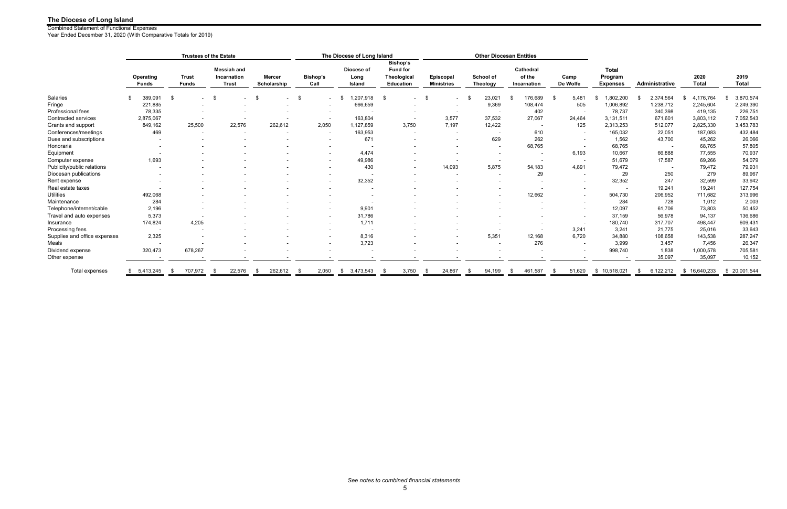|                              |                           |                              | <b>Trustees of the Estate</b>                            |                              |                          | The Diocese of Long Island   |                                                                |                                  |                                     | <b>Other Diocesan Entities</b>     |                          |                                            |                          |                      |                      |
|------------------------------|---------------------------|------------------------------|----------------------------------------------------------|------------------------------|--------------------------|------------------------------|----------------------------------------------------------------|----------------------------------|-------------------------------------|------------------------------------|--------------------------|--------------------------------------------|--------------------------|----------------------|----------------------|
|                              | Operating<br><b>Funds</b> | <b>Trust</b><br><b>Funds</b> | <b>Messiah and</b><br><b>Incarnation</b><br><b>Trust</b> | <b>Mercer</b><br>Scholarship | <b>Bishop's</b><br>Call  | Diocese of<br>Long<br>Island | Bishop's<br><b>Fund for</b><br>Theological<br><b>Education</b> | Episcopal<br><b>Ministries</b>   | <b>School of</b><br><b>Theology</b> | Cathedral<br>of the<br>Incarnation | Camp<br>De Wolfe         | <b>Total</b><br>Program<br><b>Expenses</b> | <b>Administrative</b>    | 2020<br><b>Total</b> | 2019<br><b>Total</b> |
| Salaries                     | 389.091                   | -\$<br>$\sim$                | -\$                                                      | $\sim$                       | -\$                      | 1,207,918<br>- \$            | - \$<br>$\sim$                                                 | - \$<br>$\overline{\phantom{a}}$ | 23,021                              | 176,689<br>- \$                    | 5.481<br>- \$            | 1,802,200                                  | 2,374,564                | 4,176,764<br>-S      | 3,870,574            |
| Fringe                       | 221,885                   |                              |                                                          |                              |                          | 666,659                      |                                                                |                                  | 9,369                               | 108,474                            | 505                      | 1,006,892                                  | 1,238,712                | 2,245,604            | 2,249,390            |
| Professional fees            | 78,335                    |                              |                                                          |                              |                          |                              |                                                                |                                  | $\sim$                              | 402                                |                          | 78,737                                     | 340,398                  | 419,135              | 226,751              |
| Contracted services          | 2,875,067                 |                              |                                                          |                              |                          | 163,804                      | $\overline{\phantom{a}}$                                       | 3,577                            | 37,532                              | 27,067                             | 24,464                   | 3,131,511                                  | 671,601                  | 3,803,112            | 7,052,543            |
| Grants and support           | 849,162                   | 25,500                       | 22,576                                                   | 262,612                      | 2,050                    | 1,127,859                    | 3,750                                                          | 7,197                            | 12,422                              |                                    | 125                      | 2,313,253                                  | 512,077                  | 2,825,330            | 3,453,783            |
| Conferences/meetings         | 469                       |                              |                                                          |                              | $\overline{\phantom{a}}$ | 163,953                      |                                                                |                                  |                                     | 610                                | $\sim$                   | 165,032                                    | 22,051                   | 187,083              | 432,484              |
| Dues and subscriptions       |                           |                              |                                                          |                              |                          | 671                          | $\overline{\phantom{a}}$                                       |                                  | 629                                 | 262                                | $\sim$                   | 1,562                                      | 43,700                   | 45,262               | 26,066               |
| Honoraria                    |                           |                              |                                                          |                              |                          |                              |                                                                |                                  | $\overline{a}$                      | 68,765                             | $\sim$                   | 68,765                                     | $\sim$                   | 68,765               | 57,805               |
| Equipment                    |                           |                              |                                                          |                              |                          | 4,474                        |                                                                |                                  | $\overline{\phantom{a}}$            |                                    | 6,193                    | 10,667                                     | 66,888                   | 77,555               | 70,937               |
| Computer expense             | 1,693                     |                              |                                                          |                              |                          | 49,986                       | $\overline{\phantom{a}}$                                       |                                  | $\overline{\phantom{a}}$            |                                    |                          | 51,679                                     | 17,587                   | 69,266               | 54,079               |
| Publicity/public relations   |                           |                              |                                                          |                              |                          | 430                          | $\overline{\phantom{a}}$                                       | 14,093                           | 5,875                               | 54,183                             | 4,891                    | 79,472                                     | $\overline{\phantom{a}}$ | 79,472               | 79,931               |
| Diocesan publications        |                           |                              |                                                          |                              |                          |                              | $\overline{\phantom{a}}$                                       |                                  | $\overline{\phantom{a}}$            | 29                                 | $\sim$                   | 29                                         | 250                      | 279                  | 89,967               |
| Rent expense                 |                           |                              |                                                          |                              |                          | 32,352                       |                                                                |                                  |                                     |                                    | $\sim$                   | 32,352                                     | 247                      | 32,599               | 33,942               |
| Real estate taxes            |                           |                              |                                                          |                              |                          |                              |                                                                |                                  | $\overline{\phantom{a}}$            |                                    | $\sim$                   | $\overline{\phantom{a}}$                   | 19,241                   | 19,241               | 127,754              |
| <b>Utilities</b>             | 492,068                   |                              |                                                          |                              |                          |                              |                                                                |                                  |                                     | 12,662                             | $\sim$                   | 504,730                                    | 206,952                  | 711,682              | 313,996              |
| Maintenance                  | 284                       |                              |                                                          |                              |                          |                              |                                                                |                                  |                                     |                                    | $\overline{\phantom{0}}$ | 284                                        | 728                      | 1,012                | 2,003                |
| Telephone/internet/cable     | 2,196                     |                              |                                                          |                              |                          | 9,901                        |                                                                |                                  |                                     |                                    |                          | 12,097                                     | 61,706                   | 73,803               | 50,452               |
| Travel and auto expenses     | 5,373                     |                              |                                                          |                              |                          | 31,786                       |                                                                |                                  |                                     |                                    | $\sim$                   | 37,159                                     | 56,978                   | 94,137               | 136,686              |
| Insurance                    | 174,824                   | 4,205                        |                                                          |                              | $\sim$                   | 1,711                        |                                                                |                                  |                                     |                                    | $\sim$                   | 180,740                                    | 317,707                  | 498,447              | 609,431              |
| Processing fees              |                           |                              |                                                          |                              |                          |                              |                                                                |                                  |                                     |                                    | 3,241                    | 3,241                                      | 21,775                   | 25,016               | 33,643               |
| Supplies and office expenses | 2,325                     |                              |                                                          |                              |                          | 8,316                        |                                                                |                                  | 5,351                               | 12,168                             | 6,720                    | 34,880                                     | 108,658                  | 143,538              | 287,247              |
| Meals                        |                           |                              |                                                          |                              |                          | 3,723                        |                                                                |                                  |                                     | 276                                | $\overline{\phantom{a}}$ | 3,999                                      | 3,457                    | 7,456                | 26,347               |
| Dividend expense             | 320,473                   | 678,267                      |                                                          |                              |                          |                              |                                                                |                                  |                                     |                                    |                          | 998,740                                    | 1,838                    | 1,000,578            | 705,581              |
| Other expense                |                           |                              |                                                          |                              |                          |                              |                                                                |                                  |                                     |                                    |                          |                                            | 35,097                   | 35,097               | 10,152               |
| Total expenses               | 5,413,245<br>\$           | 707,972<br>-\$               | 22,576<br>- \$                                           | 262.612<br>- \$              | 2.050                    | 3,473,543<br>\$              | 3,750<br>- \$                                                  | 24,867<br>-\$                    | 94,199<br>- 55                      | 461.587<br>- \$                    | 51.620                   | 10.518.021<br>S.                           | 6,122,212<br>\$.         | \$16,640,233         | 20,001,544<br>\$     |

Combined Statement of Functional Expenses

Year Ended December 31, 2020 (With Comparative Totals for 2019)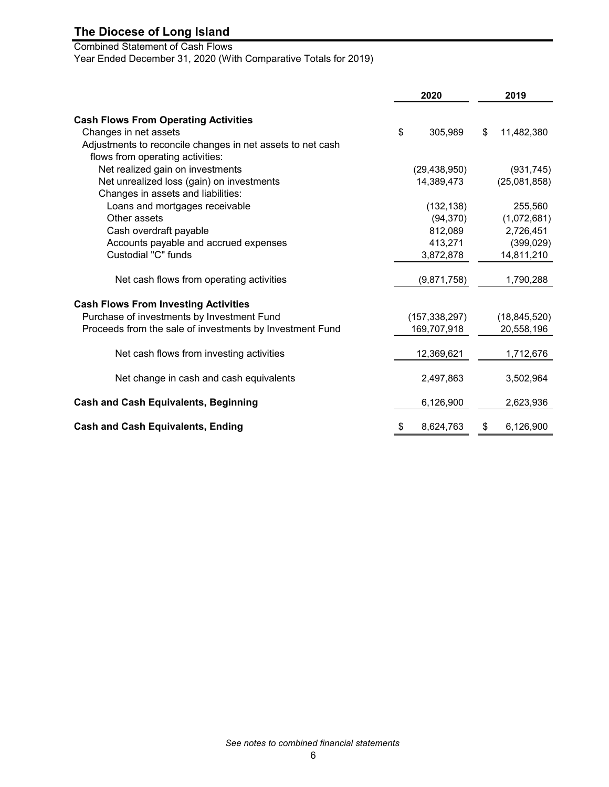# Combined Statement of Cash Flows

Year Ended December 31, 2020 (With Comparative Totals for 2019)

|                                                            | 2020            | 2019             |
|------------------------------------------------------------|-----------------|------------------|
|                                                            |                 |                  |
| <b>Cash Flows From Operating Activities</b>                |                 |                  |
| Changes in net assets                                      | \$<br>305,989   | \$<br>11,482,380 |
| Adjustments to reconcile changes in net assets to net cash |                 |                  |
| flows from operating activities:                           |                 |                  |
| Net realized gain on investments                           | (29, 438, 950)  | (931, 745)       |
| Net unrealized loss (gain) on investments                  | 14,389,473      | (25,081,858)     |
| Changes in assets and liabilities:                         |                 |                  |
| Loans and mortgages receivable                             | (132, 138)      | 255,560          |
| Other assets                                               | (94, 370)       | (1,072,681)      |
| Cash overdraft payable                                     | 812,089         | 2,726,451        |
| Accounts payable and accrued expenses                      | 413,271         | (399, 029)       |
| Custodial "C" funds                                        | 3,872,878       | 14,811,210       |
| Net cash flows from operating activities                   | (9,871,758)     | 1,790,288        |
| <b>Cash Flows From Investing Activities</b>                |                 |                  |
| Purchase of investments by Investment Fund                 | (157, 338, 297) | (18, 845, 520)   |
| Proceeds from the sale of investments by Investment Fund   | 169,707,918     | 20,558,196       |
|                                                            |                 |                  |
| Net cash flows from investing activities                   | 12,369,621      | 1,712,676        |
| Net change in cash and cash equivalents                    | 2,497,863       | 3,502,964        |
| <b>Cash and Cash Equivalents, Beginning</b>                | 6,126,900       | 2,623,936        |
|                                                            |                 |                  |
| <b>Cash and Cash Equivalents, Ending</b>                   | \$<br>8,624,763 | \$<br>6,126,900  |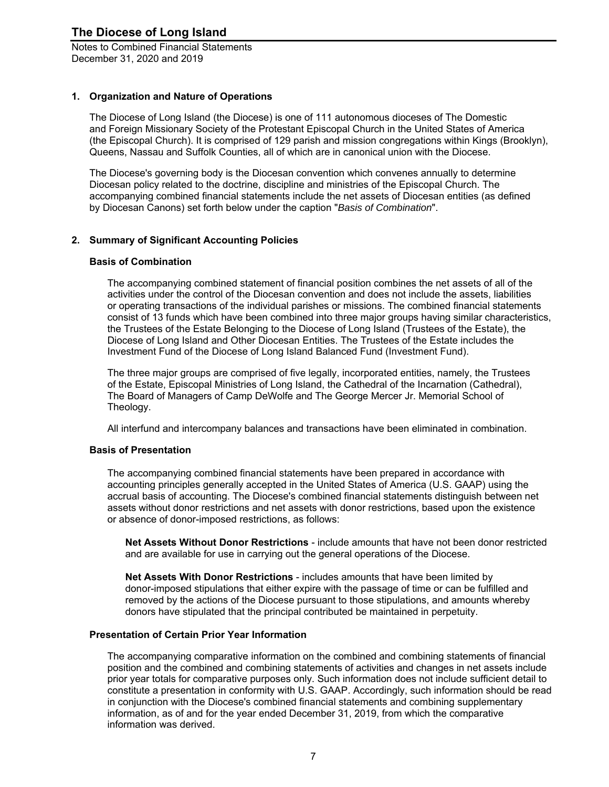Notes to Combined Financial Statements December 31, 2020 and 2019

#### **1. Organization and Nature of Operations**

The Diocese of Long Island (the Diocese) is one of 111 autonomous dioceses of The Domestic and Foreign Missionary Society of the Protestant Episcopal Church in the United States of America (the Episcopal Church). It is comprised of 129 parish and mission congregations within Kings (Brooklyn), Queens, Nassau and Suffolk Counties, all of which are in canonical union with the Diocese.

The Diocese's governing body is the Diocesan convention which convenes annually to determine Diocesan policy related to the doctrine, discipline and ministries of the Episcopal Church. The accompanying combined financial statements include the net assets of Diocesan entities (as defined by Diocesan Canons) set forth below under the caption "*Basis of Combination*".

#### **2. Summary of Significant Accounting Policies**

#### **Basis of Combination**

The accompanying combined statement of financial position combines the net assets of all of the activities under the control of the Diocesan convention and does not include the assets, liabilities or operating transactions of the individual parishes or missions. The combined financial statements consist of 13 funds which have been combined into three major groups having similar characteristics, the Trustees of the Estate Belonging to the Diocese of Long Island (Trustees of the Estate), the Diocese of Long Island and Other Diocesan Entities. The Trustees of the Estate includes the Investment Fund of the Diocese of Long Island Balanced Fund (Investment Fund).

The three major groups are comprised of five legally, incorporated entities, namely, the Trustees of the Estate, Episcopal Ministries of Long Island, the Cathedral of the Incarnation (Cathedral), The Board of Managers of Camp DeWolfe and The George Mercer Jr. Memorial School of Theology.

All interfund and intercompany balances and transactions have been eliminated in combination.

#### **Basis of Presentation**

The accompanying combined financial statements have been prepared in accordance with accounting principles generally accepted in the United States of America (U.S. GAAP) using the accrual basis of accounting. The Diocese's combined financial statements distinguish between net assets without donor restrictions and net assets with donor restrictions, based upon the existence or absence of donor-imposed restrictions, as follows:

**Net Assets Without Donor Restrictions** - include amounts that have not been donor restricted and are available for use in carrying out the general operations of the Diocese.

**Net Assets With Donor Restrictions** - includes amounts that have been limited by donor-imposed stipulations that either expire with the passage of time or can be fulfilled and removed by the actions of the Diocese pursuant to those stipulations, and amounts whereby donors have stipulated that the principal contributed be maintained in perpetuity.

#### **Presentation of Certain Prior Year Information**

The accompanying comparative information on the combined and combining statements of financial position and the combined and combining statements of activities and changes in net assets include prior year totals for comparative purposes only. Such information does not include sufficient detail to constitute a presentation in conformity with U.S. GAAP. Accordingly, such information should be read in conjunction with the Diocese's combined financial statements and combining supplementary information, as of and for the year ended December 31, 2019, from which the comparative information was derived.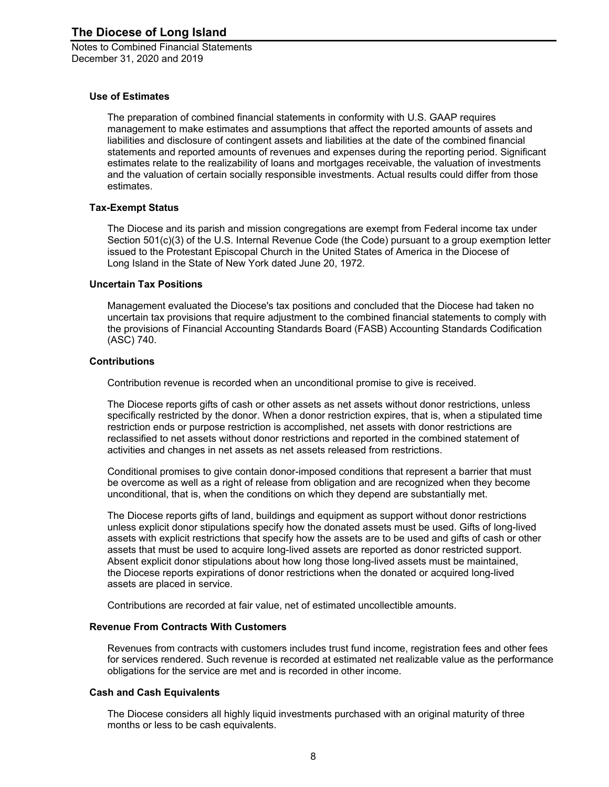#### **Use of Estimates**

The preparation of combined financial statements in conformity with U.S. GAAP requires management to make estimates and assumptions that affect the reported amounts of assets and liabilities and disclosure of contingent assets and liabilities at the date of the combined financial statements and reported amounts of revenues and expenses during the reporting period. Significant estimates relate to the realizability of loans and mortgages receivable, the valuation of investments and the valuation of certain socially responsible investments. Actual results could differ from those estimates.

#### **Tax-Exempt Status**

The Diocese and its parish and mission congregations are exempt from Federal income tax under Section 501(c)(3) of the U.S. Internal Revenue Code (the Code) pursuant to a group exemption letter issued to the Protestant Episcopal Church in the United States of America in the Diocese of Long Island in the State of New York dated June 20, 1972.

#### **Uncertain Tax Positions**

Management evaluated the Diocese's tax positions and concluded that the Diocese had taken no uncertain tax provisions that require adjustment to the combined financial statements to comply with the provisions of Financial Accounting Standards Board (FASB) Accounting Standards Codification (ASC) 740.

#### **Contributions**

Contribution revenue is recorded when an unconditional promise to give is received.

The Diocese reports gifts of cash or other assets as net assets without donor restrictions, unless specifically restricted by the donor. When a donor restriction expires, that is, when a stipulated time restriction ends or purpose restriction is accomplished, net assets with donor restrictions are reclassified to net assets without donor restrictions and reported in the combined statement of activities and changes in net assets as net assets released from restrictions.

Conditional promises to give contain donor-imposed conditions that represent a barrier that must be overcome as well as a right of release from obligation and are recognized when they become unconditional, that is, when the conditions on which they depend are substantially met.

The Diocese reports gifts of land, buildings and equipment as support without donor restrictions unless explicit donor stipulations specify how the donated assets must be used. Gifts of long-lived assets with explicit restrictions that specify how the assets are to be used and gifts of cash or other assets that must be used to acquire long-lived assets are reported as donor restricted support. Absent explicit donor stipulations about how long those long-lived assets must be maintained, the Diocese reports expirations of donor restrictions when the donated or acquired long-lived assets are placed in service.

Contributions are recorded at fair value, net of estimated uncollectible amounts.

#### **Revenue From Contracts With Customers**

Revenues from contracts with customers includes trust fund income, registration fees and other fees for services rendered. Such revenue is recorded at estimated net realizable value as the performance obligations for the service are met and is recorded in other income.

#### **Cash and Cash Equivalents**

The Diocese considers all highly liquid investments purchased with an original maturity of three months or less to be cash equivalents.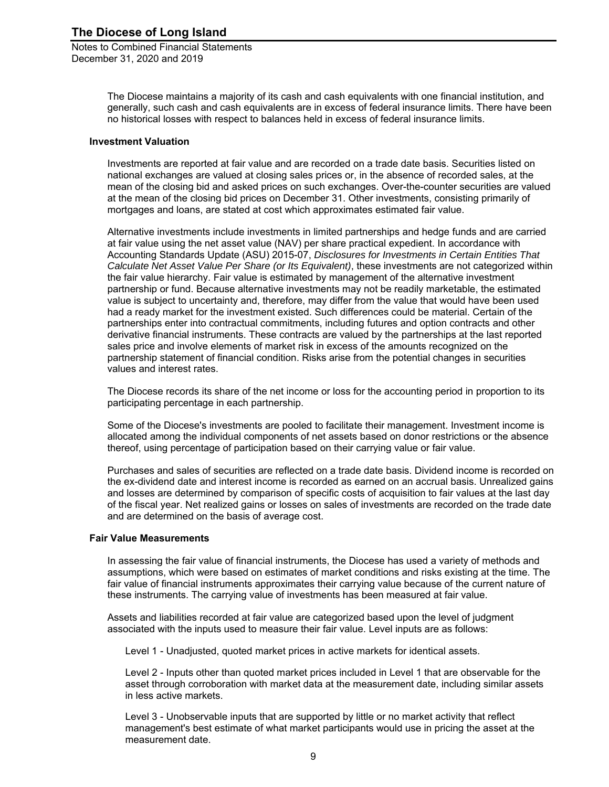> The Diocese maintains a majority of its cash and cash equivalents with one financial institution, and generally, such cash and cash equivalents are in excess of federal insurance limits. There have been no historical losses with respect to balances held in excess of federal insurance limits.

#### **Investment Valuation**

Investments are reported at fair value and are recorded on a trade date basis. Securities listed on national exchanges are valued at closing sales prices or, in the absence of recorded sales, at the mean of the closing bid and asked prices on such exchanges. Over-the-counter securities are valued at the mean of the closing bid prices on December 31. Other investments, consisting primarily of mortgages and loans, are stated at cost which approximates estimated fair value.

Alternative investments include investments in limited partnerships and hedge funds and are carried at fair value using the net asset value (NAV) per share practical expedient. In accordance with Accounting Standards Update (ASU) 2015-07, *Disclosures for Investments in Certain Entities That Calculate Net Asset Value Per Share (or Its Equivalent)*, these investments are not categorized within the fair value hierarchy. Fair value is estimated by management of the alternative investment partnership or fund. Because alternative investments may not be readily marketable, the estimated value is subject to uncertainty and, therefore, may differ from the value that would have been used had a ready market for the investment existed. Such differences could be material. Certain of the partnerships enter into contractual commitments, including futures and option contracts and other derivative financial instruments. These contracts are valued by the partnerships at the last reported sales price and involve elements of market risk in excess of the amounts recognized on the partnership statement of financial condition. Risks arise from the potential changes in securities values and interest rates.

The Diocese records its share of the net income or loss for the accounting period in proportion to its participating percentage in each partnership.

Some of the Diocese's investments are pooled to facilitate their management. Investment income is allocated among the individual components of net assets based on donor restrictions or the absence thereof, using percentage of participation based on their carrying value or fair value.

Purchases and sales of securities are reflected on a trade date basis. Dividend income is recorded on the ex-dividend date and interest income is recorded as earned on an accrual basis. Unrealized gains and losses are determined by comparison of specific costs of acquisition to fair values at the last day of the fiscal year. Net realized gains or losses on sales of investments are recorded on the trade date and are determined on the basis of average cost.

#### **Fair Value Measurements**

In assessing the fair value of financial instruments, the Diocese has used a variety of methods and assumptions, which were based on estimates of market conditions and risks existing at the time. The fair value of financial instruments approximates their carrying value because of the current nature of these instruments. The carrying value of investments has been measured at fair value.

Assets and liabilities recorded at fair value are categorized based upon the level of judgment associated with the inputs used to measure their fair value. Level inputs are as follows:

Level 1 - Unadjusted, quoted market prices in active markets for identical assets.

Level 2 - Inputs other than quoted market prices included in Level 1 that are observable for the asset through corroboration with market data at the measurement date, including similar assets in less active markets.

Level 3 - Unobservable inputs that are supported by little or no market activity that reflect management's best estimate of what market participants would use in pricing the asset at the measurement date.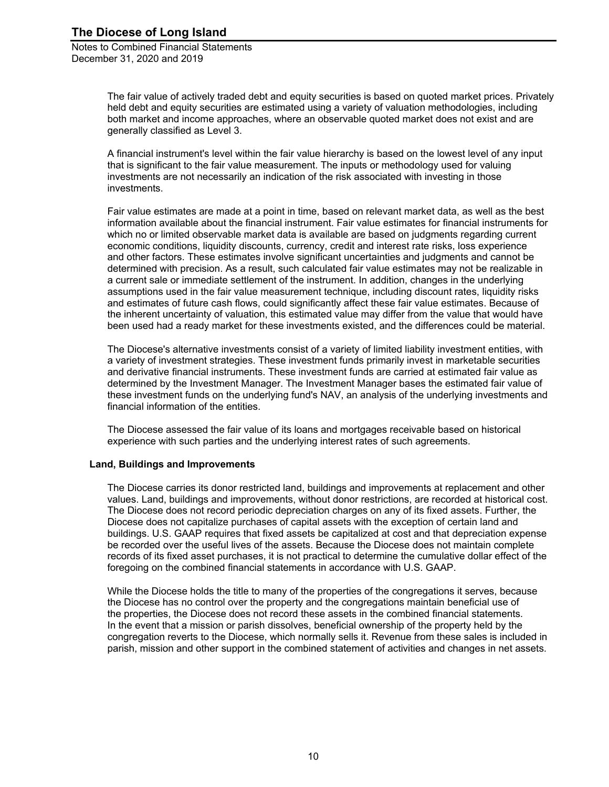> The fair value of actively traded debt and equity securities is based on quoted market prices. Privately held debt and equity securities are estimated using a variety of valuation methodologies, including both market and income approaches, where an observable quoted market does not exist and are generally classified as Level 3.

A financial instrument's level within the fair value hierarchy is based on the lowest level of any input that is significant to the fair value measurement. The inputs or methodology used for valuing investments are not necessarily an indication of the risk associated with investing in those investments.

Fair value estimates are made at a point in time, based on relevant market data, as well as the best information available about the financial instrument. Fair value estimates for financial instruments for which no or limited observable market data is available are based on judgments regarding current economic conditions, liquidity discounts, currency, credit and interest rate risks, loss experience and other factors. These estimates involve significant uncertainties and judgments and cannot be determined with precision. As a result, such calculated fair value estimates may not be realizable in a current sale or immediate settlement of the instrument. In addition, changes in the underlying assumptions used in the fair value measurement technique, including discount rates, liquidity risks and estimates of future cash flows, could significantly affect these fair value estimates. Because of the inherent uncertainty of valuation, this estimated value may differ from the value that would have been used had a ready market for these investments existed, and the differences could be material.

The Diocese's alternative investments consist of a variety of limited liability investment entities, with a variety of investment strategies. These investment funds primarily invest in marketable securities and derivative financial instruments. These investment funds are carried at estimated fair value as determined by the Investment Manager. The Investment Manager bases the estimated fair value of these investment funds on the underlying fund's NAV, an analysis of the underlying investments and financial information of the entities.

The Diocese assessed the fair value of its loans and mortgages receivable based on historical experience with such parties and the underlying interest rates of such agreements.

#### **Land, Buildings and Improvements**

The Diocese carries its donor restricted land, buildings and improvements at replacement and other values. Land, buildings and improvements, without donor restrictions, are recorded at historical cost. The Diocese does not record periodic depreciation charges on any of its fixed assets. Further, the Diocese does not capitalize purchases of capital assets with the exception of certain land and buildings. U.S. GAAP requires that fixed assets be capitalized at cost and that depreciation expense be recorded over the useful lives of the assets. Because the Diocese does not maintain complete records of its fixed asset purchases, it is not practical to determine the cumulative dollar effect of the foregoing on the combined financial statements in accordance with U.S. GAAP.

While the Diocese holds the title to many of the properties of the congregations it serves, because the Diocese has no control over the property and the congregations maintain beneficial use of the properties, the Diocese does not record these assets in the combined financial statements. In the event that a mission or parish dissolves, beneficial ownership of the property held by the congregation reverts to the Diocese, which normally sells it. Revenue from these sales is included in parish, mission and other support in the combined statement of activities and changes in net assets.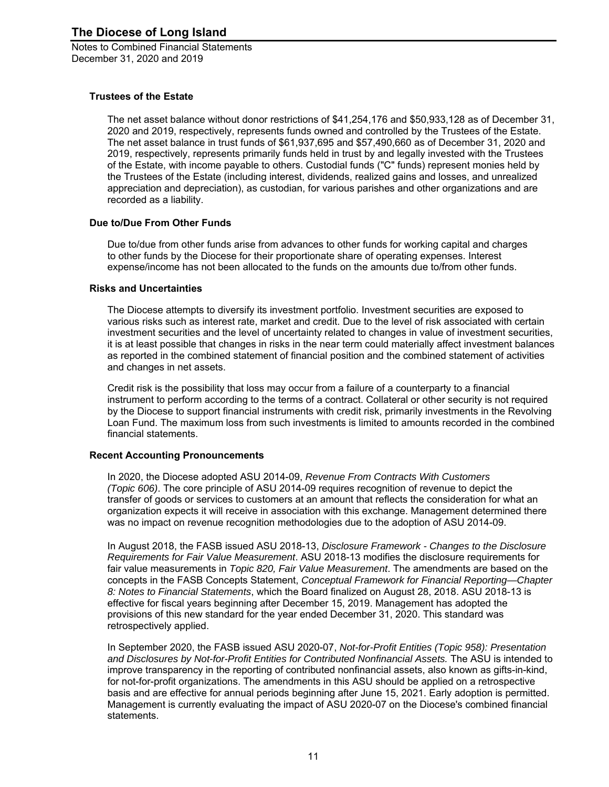#### **Trustees of the Estate**

The net asset balance without donor restrictions of \$41,254,176 and \$50,933,128 as of December 31, 2020 and 2019, respectively, represents funds owned and controlled by the Trustees of the Estate. The net asset balance in trust funds of \$61,937,695 and \$57,490,660 as of December 31, 2020 and 2019, respectively, represents primarily funds held in trust by and legally invested with the Trustees of the Estate, with income payable to others. Custodial funds ("C" funds) represent monies held by the Trustees of the Estate (including interest, dividends, realized gains and losses, and unrealized appreciation and depreciation), as custodian, for various parishes and other organizations and are recorded as a liability.

#### **Due to/Due From Other Funds**

Due to/due from other funds arise from advances to other funds for working capital and charges to other funds by the Diocese for their proportionate share of operating expenses. Interest expense/income has not been allocated to the funds on the amounts due to/from other funds.

#### **Risks and Uncertainties**

The Diocese attempts to diversify its investment portfolio. Investment securities are exposed to various risks such as interest rate, market and credit. Due to the level of risk associated with certain investment securities and the level of uncertainty related to changes in value of investment securities, it is at least possible that changes in risks in the near term could materially affect investment balances as reported in the combined statement of financial position and the combined statement of activities and changes in net assets.

Credit risk is the possibility that loss may occur from a failure of a counterparty to a financial instrument to perform according to the terms of a contract. Collateral or other security is not required by the Diocese to support financial instruments with credit risk, primarily investments in the Revolving Loan Fund. The maximum loss from such investments is limited to amounts recorded in the combined financial statements.

#### **Recent Accounting Pronouncements**

In 2020, the Diocese adopted ASU 2014-09, *Revenue From Contracts With Customers (Topic 606)*. The core principle of ASU 2014-09 requires recognition of revenue to depict the transfer of goods or services to customers at an amount that reflects the consideration for what an organization expects it will receive in association with this exchange. Management determined there was no impact on revenue recognition methodologies due to the adoption of ASU 2014-09.

In August 2018, the FASB issued ASU 2018-13, *Disclosure Framework - Changes to the Disclosure Requirements for Fair Value Measurement*. ASU 2018-13 modifies the disclosure requirements for fair value measurements in *Topic 820, Fair Value Measurement*. The amendments are based on the concepts in the FASB Concepts Statement, *Conceptual Framework for Financial Reporting—Chapter 8: Notes to Financial Statements*, which the Board finalized on August 28, 2018. ASU 2018-13 is effective for fiscal years beginning after December 15, 2019. Management has adopted the provisions of this new standard for the year ended December 31, 2020. This standard was retrospectively applied.

In September 2020, the FASB issued ASU 2020-07, *Not-for-Profit Entities (Topic 958): Presentation and Disclosures by Not-for-Profit Entities for Contributed Nonfinancial Assets.* The ASU is intended to improve transparency in the reporting of contributed nonfinancial assets, also known as gifts-in-kind, for not-for-profit organizations. The amendments in this ASU should be applied on a retrospective basis and are effective for annual periods beginning after June 15, 2021. Early adoption is permitted. Management is currently evaluating the impact of ASU 2020-07 on the Diocese's combined financial statements.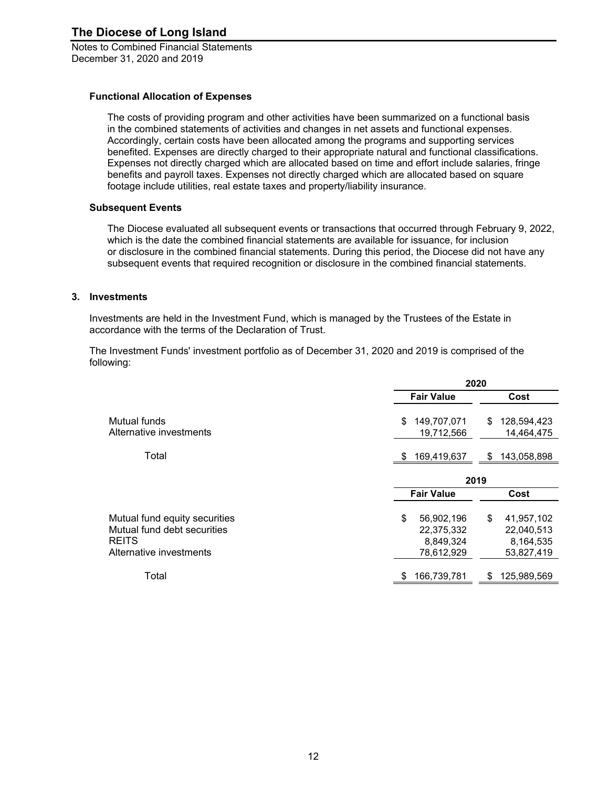#### **Functional Allocation of Expenses**

The costs of providing program and other activities have been summarized on a functional basis in the combined statements of activities and changes in net assets and functional expenses. Accordingly, certain costs have been allocated among the programs and supporting services benefited. Expenses are directly charged to their appropriate natural and functional classifications. Expenses not directly charged which are allocated based on time and effort include salaries, fringe benefits and payroll taxes. Expenses not directly charged which are allocated based on square footage include utilities, real estate taxes and property/liability insurance.

#### **Subsequent Events**

The Diocese evaluated all subsequent events or transactions that occurred through February 9, 2022, which is the date the combined financial statements are available for issuance, for inclusion or disclosure in the combined financial statements. During this period, the Diocese did not have any subsequent events that required recognition or disclosure in the combined financial statements.

#### **3. Investments**

Investments are held in the Investment Fund, which is managed by the Trustees of the Estate in accordance with the terms of the Declaration of Trust.

The Investment Funds' investment portfolio as of December 31, 2020 and 2019 is comprised of the following:

|                                                                                                         | 2020                                                      |                                                           |
|---------------------------------------------------------------------------------------------------------|-----------------------------------------------------------|-----------------------------------------------------------|
|                                                                                                         | <b>Fair Value</b>                                         | Cost                                                      |
| Mutual funds<br>Alternative investments                                                                 | 149,707,071<br>\$<br>19,712,566                           | 128,594,423<br>\$<br>14,464,475                           |
| Total                                                                                                   | 169,419,637<br>S                                          | 143,058,898<br>\$.                                        |
|                                                                                                         | 2019                                                      |                                                           |
|                                                                                                         | <b>Fair Value</b>                                         | Cost                                                      |
| Mutual fund equity securities<br>Mutual fund debt securities<br><b>REITS</b><br>Alternative investments | \$<br>56,902,196<br>22,375,332<br>8,849,324<br>78,612,929 | \$<br>41,957,102<br>22,040,513<br>8,164,535<br>53,827,419 |
| Total                                                                                                   | 166,739,781<br>\$                                         | 125,989,569<br>\$                                         |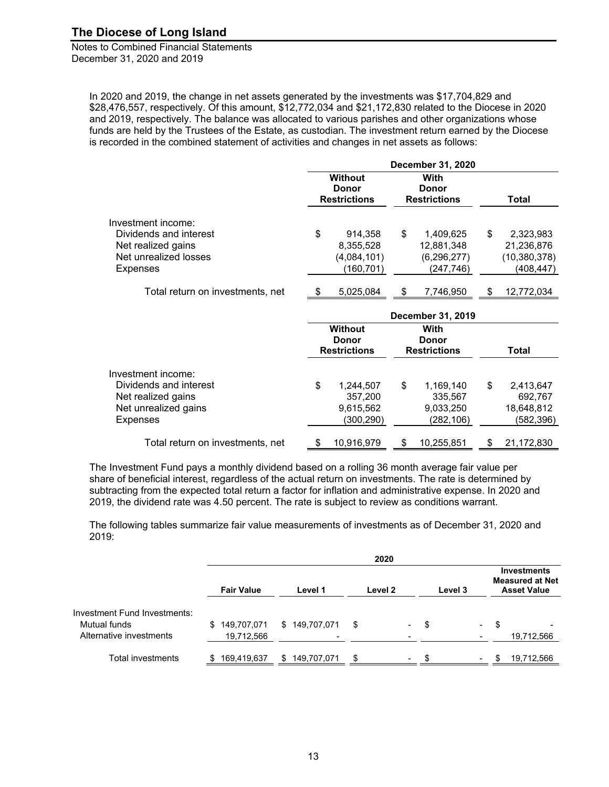Notes to Combined Financial Statements December 31, 2020 and 2019

In 2020 and 2019, the change in net assets generated by the investments was \$17,704,829 and \$28,476,557, respectively. Of this amount, \$12,772,034 and \$21,172,830 related to the Diocese in 2020 and 2019, respectively. The balance was allocated to various parishes and other organizations whose funds are held by the Trustees of the Estate, as custodian. The investment return earned by the Diocese is recorded in the combined statement of activities and changes in net assets as follows:

|                                                                                                                | December 31, 2020 |                                                       |    |                                                        |    |                                                         |  |
|----------------------------------------------------------------------------------------------------------------|-------------------|-------------------------------------------------------|----|--------------------------------------------------------|----|---------------------------------------------------------|--|
|                                                                                                                |                   | <b>Without</b><br><b>Donor</b><br><b>Restrictions</b> |    | With<br><b>Donor</b><br><b>Restrictions</b>            |    | <b>Total</b>                                            |  |
| Investment income:<br>Dividends and interest<br>Net realized gains<br>Net unrealized losses<br><b>Expenses</b> | \$                | 914,358<br>8,355,528<br>(4,084,101)<br>(160, 701)     | \$ | 1,409,625<br>12,881,348<br>(6, 296, 277)<br>(247, 746) | \$ | 2,323,983<br>21,236,876<br>(10, 380, 378)<br>(408, 447) |  |
| Total return on investments, net                                                                               |                   | 5,025,084                                             | \$ | 7,746,950                                              | \$ | 12,772,034                                              |  |
|                                                                                                                |                   |                                                       |    | December 31, 2019                                      |    |                                                         |  |
|                                                                                                                |                   | <b>Without</b><br><b>Donor</b><br><b>Restrictions</b> |    | With<br><b>Donor</b><br><b>Restrictions</b>            |    | <b>Total</b>                                            |  |
| Investment income:<br>Dividends and interest<br>Net realized gains<br>Net unrealized gains<br><b>Expenses</b>  | \$                | 1,244,507<br>357,200<br>9,615,562<br>(300, 290)       | \$ | 1,169,140<br>335,567<br>9,033,250<br>(282, 106)        | \$ | 2,413,647<br>692,767<br>18,648,812<br>(582, 396)        |  |
| Total return on investments, net                                                                               | \$                | 10,916,979                                            | \$ | 10,255,851                                             | \$ | 21,172,830                                              |  |

The Investment Fund pays a monthly dividend based on a rolling 36 month average fair value per share of beneficial interest, regardless of the actual return on investments. The rate is determined by subtracting from the expected total return a factor for inflation and administrative expense. In 2020 and 2019, the dividend rate was 4.50 percent. The rate is subject to review as conditions warrant.

The following tables summarize fair value measurements of investments as of December 31, 2020 and 2019:

|                                                                         |                                 |                   | 2020                            |                                 |                                                                    |
|-------------------------------------------------------------------------|---------------------------------|-------------------|---------------------------------|---------------------------------|--------------------------------------------------------------------|
|                                                                         | <b>Fair Value</b>               | Level 1           | Level 2                         | Level 3                         | <b>Investments</b><br><b>Measured at Net</b><br><b>Asset Value</b> |
| Investment Fund Investments:<br>Mutual funds<br>Alternative investments | 149,707,071<br>S.<br>19,712,566 | 149,707,071<br>\$ | \$<br>$\sim$                    | \$<br>$\sim$                    | \$<br>$\overline{\phantom{0}}$<br>19,712,566                       |
| Total investments                                                       | 169,419,637<br>S                | 149,707,071<br>S  | \$.<br>$\overline{\phantom{a}}$ | \$.<br>$\overline{\phantom{a}}$ | 19,712,566<br>\$.                                                  |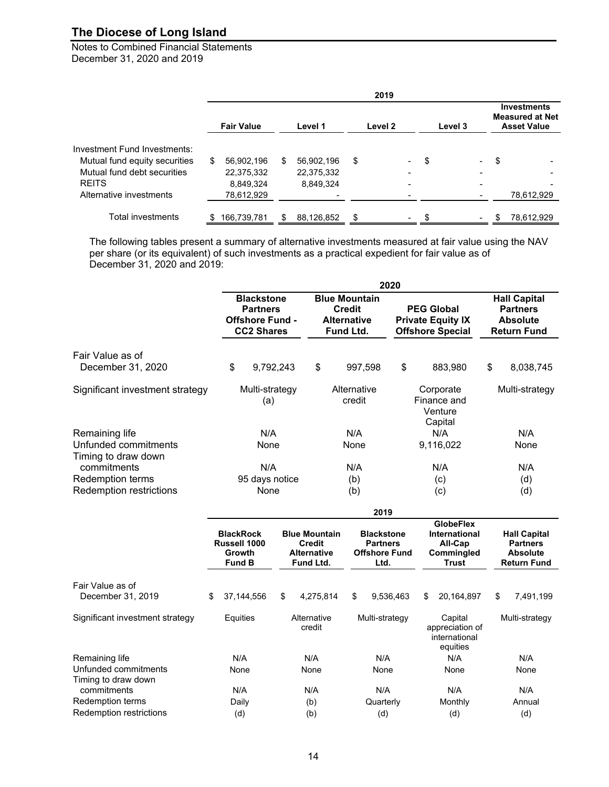Notes to Combined Financial Statements December 31, 2020 and 2019

|                               |   |                   |     |            | 2019    |                          |         |                          |    |                                                                    |
|-------------------------------|---|-------------------|-----|------------|---------|--------------------------|---------|--------------------------|----|--------------------------------------------------------------------|
|                               |   | <b>Fair Value</b> |     | Level 1    | Level 2 |                          | Level 3 |                          |    | <b>Investments</b><br><b>Measured at Net</b><br><b>Asset Value</b> |
| Investment Fund Investments:  |   |                   |     |            |         |                          |         |                          |    |                                                                    |
| Mutual fund equity securities | S | 56,902,196        | \$  | 56,902,196 | \$      | $\overline{\phantom{a}}$ | \$      | $\overline{\phantom{0}}$ | \$ |                                                                    |
| Mutual fund debt securities   |   | 22,375,332        |     | 22,375,332 |         |                          |         |                          |    |                                                                    |
| <b>REITS</b>                  |   | 8,849,324         |     | 8,849,324  |         |                          |         | -                        |    |                                                                    |
| Alternative investments       |   | 78,612,929        |     |            |         |                          |         |                          |    | 78,612,929                                                         |
|                               |   |                   |     |            |         |                          |         |                          |    |                                                                    |
| Total investments             | S | 166,739,781       | \$. | 88,126,852 | \$      |                          | \$      |                          | S  | 78,612,929                                                         |

The following tables present a summary of alternative investments measured at fair value using the NAV per share (or its equivalent) of such investments as a practical expedient for fair value as of December 31, 2020 and 2019:

|                                                                   |                        |                                                                                     |    |  |                                                                          |             | 2020                                                                 |     |                             |                                                                          |                                                                                 |                                                                          |  |
|-------------------------------------------------------------------|------------------------|-------------------------------------------------------------------------------------|----|--|--------------------------------------------------------------------------|-------------|----------------------------------------------------------------------|-----|-----------------------------|--------------------------------------------------------------------------|---------------------------------------------------------------------------------|--------------------------------------------------------------------------|--|
|                                                                   |                        | <b>Blackstone</b><br><b>Partners</b><br><b>Offshore Fund -</b><br><b>CC2 Shares</b> |    |  | <b>Blue Mountain</b><br><b>Credit</b><br><b>Alternative</b><br>Fund Ltd. |             |                                                                      |     |                             | <b>PEG Global</b><br><b>Private Equity IX</b><br><b>Offshore Special</b> | <b>Hall Capital</b><br><b>Partners</b><br><b>Absolute</b><br><b>Return Fund</b> |                                                                          |  |
| Fair Value as of<br>December 31, 2020                             |                        | \$<br>9,792,243                                                                     |    |  | \$                                                                       | 997,598     |                                                                      | \$  |                             | 883,980                                                                  | \$                                                                              | 8,038,745                                                                |  |
| Significant investment strategy                                   |                        | Multi-strategy<br>(a)                                                               |    |  | Alternative<br>credit                                                    |             | Corporate<br>Finance and<br>Venture                                  |     | Multi-strategy              |                                                                          |                                                                                 |                                                                          |  |
| Remaining life<br>Unfunded commitments<br>Timing to draw down     |                        | N/A<br>None<br>N/A                                                                  |    |  |                                                                          | N/A<br>None |                                                                      |     | Capital<br>N/A<br>9,116,022 |                                                                          |                                                                                 | N/A<br>None                                                              |  |
| commitments<br>Redemption terms<br><b>Redemption restrictions</b> | 95 days notice<br>None |                                                                                     |    |  | N/A<br>(b)<br>(b)                                                        |             |                                                                      |     |                             | N/A<br>(c)<br>(c)                                                        |                                                                                 | N/A<br>(d)<br>(d)                                                        |  |
|                                                                   | 2019                   |                                                                                     |    |  |                                                                          |             |                                                                      |     |                             |                                                                          |                                                                                 |                                                                          |  |
|                                                                   |                        | <b>BlackRock</b><br>Russell 1000<br>Growth<br><b>Fund B</b>                         |    |  | <b>Blue Mountain</b><br><b>Credit</b><br><b>Alternative</b><br>Fund Ltd. |             | <b>Blackstone</b><br><b>Partners</b><br><b>Offshore Fund</b><br>Ltd. |     |                             | <b>GlobeFlex</b><br>International<br>All-Cap<br>Commingled<br>Trust      |                                                                                 | <b>Hall Capital</b><br><b>Partners</b><br>Absolute<br><b>Return Fund</b> |  |
| Fair Value as of<br>December 31, 2019                             | \$                     | 37,144,556                                                                          | \$ |  | 4,275,814                                                                | \$          | 9,536,463                                                            |     | \$                          | 20,164,897                                                               | \$                                                                              | 7,491,199                                                                |  |
| Significant investment strategy                                   |                        | Equities                                                                            |    |  | Alternative<br>credit                                                    |             | Multi-strategy                                                       |     |                             | Capital<br>appreciation of<br>international<br>equities                  |                                                                                 | Multi-strategy                                                           |  |
| Remaining life                                                    |                        | N/A                                                                                 |    |  | N/A                                                                      |             | N/A                                                                  |     |                             | N/A                                                                      |                                                                                 | N/A                                                                      |  |
| Unfunded commitments<br>Timing to draw down                       |                        | None                                                                                |    |  | None                                                                     |             | None                                                                 |     |                             | None                                                                     |                                                                                 | None                                                                     |  |
| commitments                                                       |                        | N/A                                                                                 |    |  | N/A                                                                      |             | N/A                                                                  |     |                             | N/A                                                                      |                                                                                 | N/A                                                                      |  |
| Redemption terms                                                  |                        | Daily                                                                               |    |  | (b)                                                                      |             | Quarterly                                                            |     |                             | Monthly                                                                  |                                                                                 | Annual                                                                   |  |
| Redemption restrictions                                           |                        | (d)                                                                                 |    |  | (b)                                                                      |             | (d)                                                                  | (d) |                             |                                                                          |                                                                                 | (d)                                                                      |  |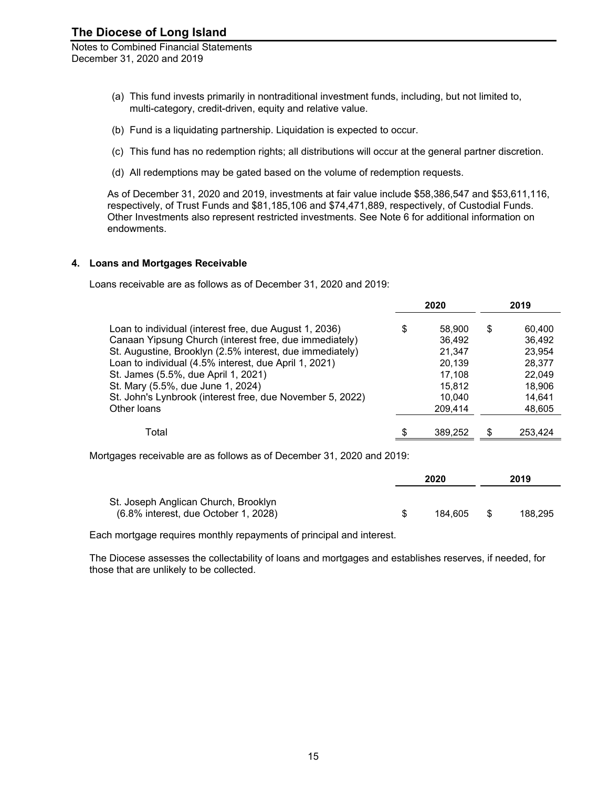Notes to Combined Financial Statements December 31, 2020 and 2019

- (a) This fund invests primarily in nontraditional investment funds, including, but not limited to, multi-category, credit-driven, equity and relative value.
- (b) Fund is a liquidating partnership. Liquidation is expected to occur.
- (c) This fund has no redemption rights; all distributions will occur at the general partner discretion.
- (d) All redemptions may be gated based on the volume of redemption requests.

As of December 31, 2020 and 2019, investments at fair value include \$58,386,547 and \$53,611,116, respectively, of Trust Funds and \$81,185,106 and \$74,471,889, respectively, of Custodial Funds. Other Investments also represent restricted investments. See Note 6 for additional information on endowments.

#### **4. Loans and Mortgages Receivable**

Loans receivable are as follows as of December 31, 2020 and 2019:

|                                                           | 2020         | 2019         |
|-----------------------------------------------------------|--------------|--------------|
| Loan to individual (interest free, due August 1, 2036)    | \$<br>58,900 | \$<br>60.400 |
| Canaan Yipsung Church (interest free, due immediately)    | 36,492       | 36,492       |
| St. Augustine, Brooklyn (2.5% interest, due immediately)  | 21.347       | 23.954       |
| Loan to individual (4.5% interest, due April 1, 2021)     | 20.139       | 28.377       |
| St. James (5.5%, due April 1, 2021)                       | 17.108       | 22,049       |
| St. Mary (5.5%, due June 1, 2024)                         | 15.812       | 18.906       |
| St. John's Lynbrook (interest free, due November 5, 2022) | 10.040       | 14.641       |
| Other Ioans                                               | 209,414      | 48,605       |
|                                                           |              |              |
| Total                                                     | 389,252      | 253.424      |

Mortgages receivable are as follows as of December 31, 2020 and 2019:

|                                                                                 | 2020    |     | 2019    |
|---------------------------------------------------------------------------------|---------|-----|---------|
| St. Joseph Anglican Church, Brooklyn<br>$(6.8\%$ interest, due October 1, 2028) | 184.605 | \$. | 188.295 |

Each mortgage requires monthly repayments of principal and interest.

The Diocese assesses the collectability of loans and mortgages and establishes reserves, if needed, for those that are unlikely to be collected.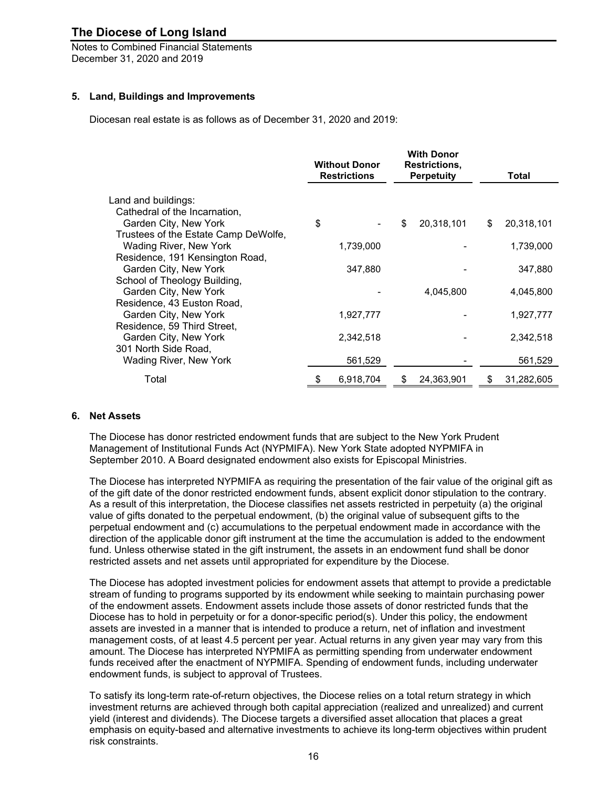Notes to Combined Financial Statements December 31, 2020 and 2019

#### **5. Land, Buildings and Improvements**

Diocesan real estate is as follows as of December 31, 2020 and 2019:

|                                      | <b>With Donor</b><br><b>Without Donor</b><br><b>Restrictions,</b><br><b>Restrictions</b><br><b>Perpetuity</b> |           |    |            |    | Total      |
|--------------------------------------|---------------------------------------------------------------------------------------------------------------|-----------|----|------------|----|------------|
| Land and buildings:                  |                                                                                                               |           |    |            |    |            |
| Cathedral of the Incarnation,        |                                                                                                               |           |    |            |    |            |
| Garden City, New York                | \$                                                                                                            |           | \$ | 20,318,101 | \$ | 20,318,101 |
| Trustees of the Estate Camp DeWolfe, |                                                                                                               |           |    |            |    |            |
| Wading River, New York               |                                                                                                               | 1,739,000 |    |            |    | 1,739,000  |
| Residence, 191 Kensington Road,      |                                                                                                               |           |    |            |    |            |
| Garden City, New York                |                                                                                                               | 347,880   |    |            |    | 347,880    |
| School of Theology Building,         |                                                                                                               |           |    |            |    |            |
| Garden City, New York                |                                                                                                               |           |    | 4,045,800  |    | 4,045,800  |
| Residence, 43 Euston Road,           |                                                                                                               |           |    |            |    |            |
| Garden City, New York                |                                                                                                               | 1,927,777 |    |            |    | 1,927,777  |
| Residence, 59 Third Street,          |                                                                                                               |           |    |            |    |            |
| Garden City, New York                |                                                                                                               | 2,342,518 |    |            |    | 2,342,518  |
| 301 North Side Road,                 |                                                                                                               |           |    |            |    |            |
| Wading River, New York               |                                                                                                               | 561,529   |    |            |    | 561,529    |
| Total                                | \$                                                                                                            | 6,918,704 | \$ | 24,363,901 | S  | 31,282,605 |

#### **6. Net Assets**

The Diocese has donor restricted endowment funds that are subject to the New York Prudent Management of Institutional Funds Act (NYPMIFA). New York State adopted NYPMIFA in September 2010. A Board designated endowment also exists for Episcopal Ministries.

The Diocese has interpreted NYPMIFA as requiring the presentation of the fair value of the original gift as of the gift date of the donor restricted endowment funds, absent explicit donor stipulation to the contrary. As a result of this interpretation, the Diocese classifies net assets restricted in perpetuity (a) the original value of gifts donated to the perpetual endowment, (b) the original value of subsequent gifts to the perpetual endowment and (c) accumulations to the perpetual endowment made in accordance with the direction of the applicable donor gift instrument at the time the accumulation is added to the endowment fund. Unless otherwise stated in the gift instrument, the assets in an endowment fund shall be donor restricted assets and net assets until appropriated for expenditure by the Diocese.

The Diocese has adopted investment policies for endowment assets that attempt to provide a predictable stream of funding to programs supported by its endowment while seeking to maintain purchasing power of the endowment assets. Endowment assets include those assets of donor restricted funds that the Diocese has to hold in perpetuity or for a donor-specific period(s). Under this policy, the endowment assets are invested in a manner that is intended to produce a return, net of inflation and investment management costs, of at least 4.5 percent per year. Actual returns in any given year may vary from this amount. The Diocese has interpreted NYPMIFA as permitting spending from underwater endowment funds received after the enactment of NYPMIFA. Spending of endowment funds, including underwater endowment funds, is subject to approval of Trustees.

To satisfy its long-term rate-of-return objectives, the Diocese relies on a total return strategy in which investment returns are achieved through both capital appreciation (realized and unrealized) and current yield (interest and dividends). The Diocese targets a diversified asset allocation that places a great emphasis on equity-based and alternative investments to achieve its long-term objectives within prudent risk constraints.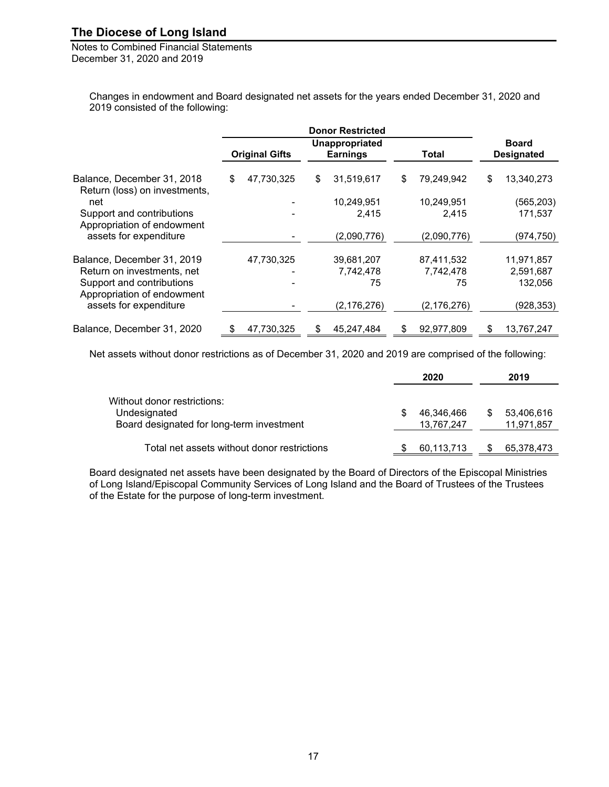Notes to Combined Financial Statements December 31, 2020 and 2019

> Changes in endowment and Board designated net assets for the years ended December 31, 2020 and 2019 consisted of the following:

|                                                             |                       | <b>Donor Restricted</b>           |    |               |                                   |            |  |
|-------------------------------------------------------------|-----------------------|-----------------------------------|----|---------------|-----------------------------------|------------|--|
|                                                             | <b>Original Gifts</b> | Unappropriated<br><b>Earnings</b> |    | Total         | <b>Board</b><br><b>Designated</b> |            |  |
| Balance, December 31, 2018<br>Return (loss) on investments, | \$<br>47,730,325      | \$<br>31,519,617                  | S  | 79,249,942    | \$                                | 13,340,273 |  |
| net                                                         |                       | 10,249,951                        |    | 10,249,951    |                                   | (565, 203) |  |
| Support and contributions<br>Appropriation of endowment     |                       | 2,415                             |    | 2,415         |                                   | 171.537    |  |
| assets for expenditure                                      |                       | (2,090,776)                       |    | (2,090,776)   |                                   | (974, 750) |  |
| Balance, December 31, 2019                                  | 47,730,325            | 39,681,207                        |    | 87,411,532    |                                   | 11,971,857 |  |
| Return on investments, net                                  |                       | 7,742,478                         |    | 7,742,478     |                                   | 2,591,687  |  |
| Support and contributions<br>Appropriation of endowment     |                       | 75                                |    | 75            |                                   | 132,056    |  |
| assets for expenditure                                      |                       | (2, 176, 276)                     |    | (2, 176, 276) |                                   | (928, 353) |  |
| Balance, December 31, 2020                                  | \$<br>47,730,325      | 45,247,484                        | \$ | 92,977,809    | \$                                | 13,767,247 |  |

Net assets without donor restrictions as of December 31, 2020 and 2019 are comprised of the following:

|                                             | 2020       |     | 2019       |
|---------------------------------------------|------------|-----|------------|
| Without donor restrictions:                 |            |     |            |
| Undesignated                                | 46,346,466 | \$. | 53,406,616 |
| Board designated for long-term investment   | 13,767,247 |     | 11,971,857 |
| Total net assets without donor restrictions | 60,113,713 |     | 65,378,473 |

Board designated net assets have been designated by the Board of Directors of the Episcopal Ministries of Long Island/Episcopal Community Services of Long Island and the Board of Trustees of the Trustees of the Estate for the purpose of long-term investment.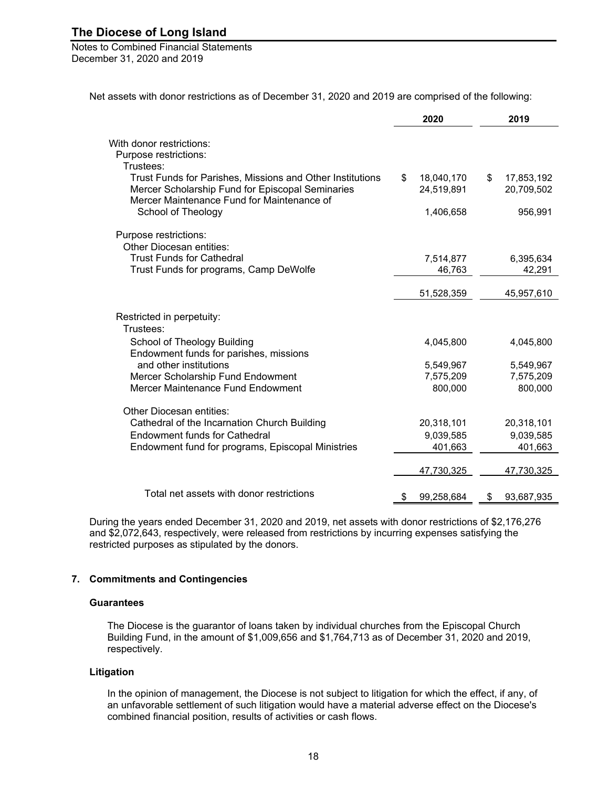Notes to Combined Financial Statements December 31, 2020 and 2019

Net assets with donor restrictions as of December 31, 2020 and 2019 are comprised of the following:

|                                                           | 2020             | 2019             |
|-----------------------------------------------------------|------------------|------------------|
|                                                           |                  |                  |
| With donor restrictions:                                  |                  |                  |
| Purpose restrictions:<br>Trustees:                        |                  |                  |
| Trust Funds for Parishes, Missions and Other Institutions | 18,040,170<br>\$ | \$<br>17,853,192 |
| Mercer Scholarship Fund for Episcopal Seminaries          | 24,519,891       | 20,709,502       |
| Mercer Maintenance Fund for Maintenance of                |                  |                  |
| School of Theology                                        | 1,406,658        | 956,991          |
|                                                           |                  |                  |
| Purpose restrictions:                                     |                  |                  |
| <b>Other Diocesan entities:</b>                           |                  |                  |
| <b>Trust Funds for Cathedral</b>                          | 7,514,877        | 6,395,634        |
| Trust Funds for programs, Camp DeWolfe                    | 46,763           | 42,291           |
|                                                           |                  |                  |
|                                                           | 51,528,359       | 45,957,610       |
| Restricted in perpetuity:                                 |                  |                  |
| Trustees:                                                 |                  |                  |
| School of Theology Building                               | 4,045,800        | 4,045,800        |
| Endowment funds for parishes, missions                    |                  |                  |
| and other institutions                                    | 5,549,967        | 5,549,967        |
| Mercer Scholarship Fund Endowment                         | 7,575,209        | 7,575,209        |
| Mercer Maintenance Fund Endowment                         | 800,000          | 800,000          |
|                                                           |                  |                  |
| Other Diocesan entities:                                  |                  |                  |
| Cathedral of the Incarnation Church Building              | 20,318,101       | 20,318,101       |
| <b>Endowment funds for Cathedral</b>                      | 9,039,585        | 9,039,585        |
| Endowment fund for programs, Episcopal Ministries         | 401,663          | 401,663          |
|                                                           |                  |                  |
|                                                           | 47,730,325       | 47,730,325       |
|                                                           |                  |                  |
| Total net assets with donor restrictions                  | 99,258,684<br>\$ | 93,687,935<br>\$ |

During the years ended December 31, 2020 and 2019, net assets with donor restrictions of \$2,176,276 and \$2,072,643, respectively, were released from restrictions by incurring expenses satisfying the restricted purposes as stipulated by the donors.

#### **7. Commitments and Contingencies**

#### **Guarantees**

The Diocese is the guarantor of loans taken by individual churches from the Episcopal Church Building Fund, in the amount of \$1,009,656 and \$1,764,713 as of December 31, 2020 and 2019, respectively.

#### **Litigation**

In the opinion of management, the Diocese is not subject to litigation for which the effect, if any, of an unfavorable settlement of such litigation would have a material adverse effect on the Diocese's combined financial position, results of activities or cash flows.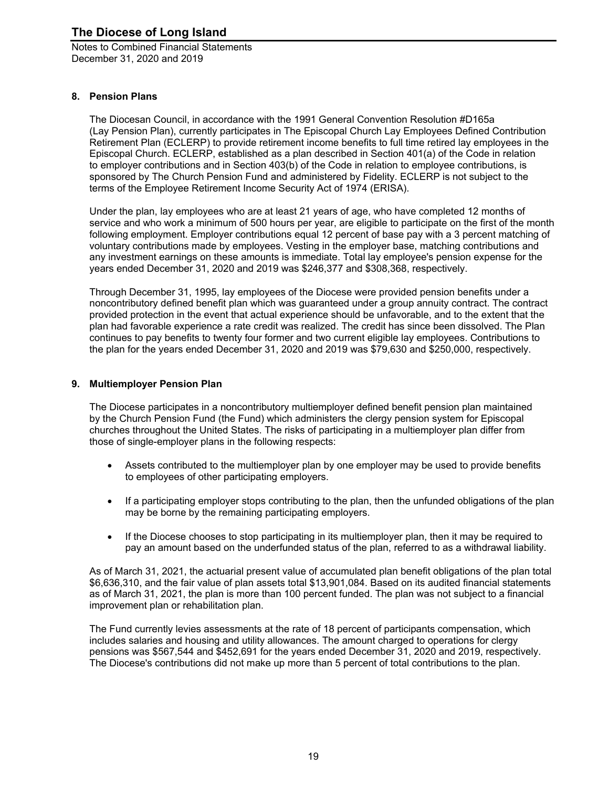Notes to Combined Financial Statements December 31, 2020 and 2019

#### **8. Pension Plans**

The Diocesan Council, in accordance with the 1991 General Convention Resolution #D165a (Lay Pension Plan), currently participates in The Episcopal Church Lay Employees Defined Contribution Retirement Plan (ECLERP) to provide retirement income benefits to full time retired lay employees in the Episcopal Church. ECLERP, established as a plan described in Section 401(a) of the Code in relation to employer contributions and in Section 403(b) of the Code in relation to employee contributions, is sponsored by The Church Pension Fund and administered by Fidelity. ECLERP is not subject to the terms of the Employee Retirement Income Security Act of 1974 (ERISA).

Under the plan, lay employees who are at least 21 years of age, who have completed 12 months of service and who work a minimum of 500 hours per year, are eligible to participate on the first of the month following employment. Employer contributions equal 12 percent of base pay with a 3 percent matching of voluntary contributions made by employees. Vesting in the employer base, matching contributions and any investment earnings on these amounts is immediate. Total lay employee's pension expense for the years ended December 31, 2020 and 2019 was \$246,377 and \$308,368, respectively.

Through December 31, 1995, lay employees of the Diocese were provided pension benefits under a noncontributory defined benefit plan which was guaranteed under a group annuity contract. The contract provided protection in the event that actual experience should be unfavorable, and to the extent that the plan had favorable experience a rate credit was realized. The credit has since been dissolved. The Plan continues to pay benefits to twenty four former and two current eligible lay employees. Contributions to the plan for the years ended December 31, 2020 and 2019 was \$79,630 and \$250,000, respectively.

#### **9. Multiemployer Pension Plan**

The Diocese participates in a noncontributory multiemployer defined benefit pension plan maintained by the Church Pension Fund (the Fund) which administers the clergy pension system for Episcopal churches throughout the United States. The risks of participating in a multiemployer plan differ from those of single-employer plans in the following respects:

- Assets contributed to the multiemployer plan by one employer may be used to provide benefits to employees of other participating employers.
- If a participating employer stops contributing to the plan, then the unfunded obligations of the plan may be borne by the remaining participating employers.
- If the Diocese chooses to stop participating in its multiemployer plan, then it may be required to pay an amount based on the underfunded status of the plan, referred to as a withdrawal liability.

As of March 31, 2021, the actuarial present value of accumulated plan benefit obligations of the plan total \$6,636,310, and the fair value of plan assets total \$13,901,084. Based on its audited financial statements as of March 31, 2021, the plan is more than 100 percent funded. The plan was not subject to a financial improvement plan or rehabilitation plan.

The Fund currently levies assessments at the rate of 18 percent of participants compensation, which includes salaries and housing and utility allowances. The amount charged to operations for clergy pensions was \$567,544 and \$452,691 for the years ended December 31, 2020 and 2019, respectively. The Diocese's contributions did not make up more than 5 percent of total contributions to the plan.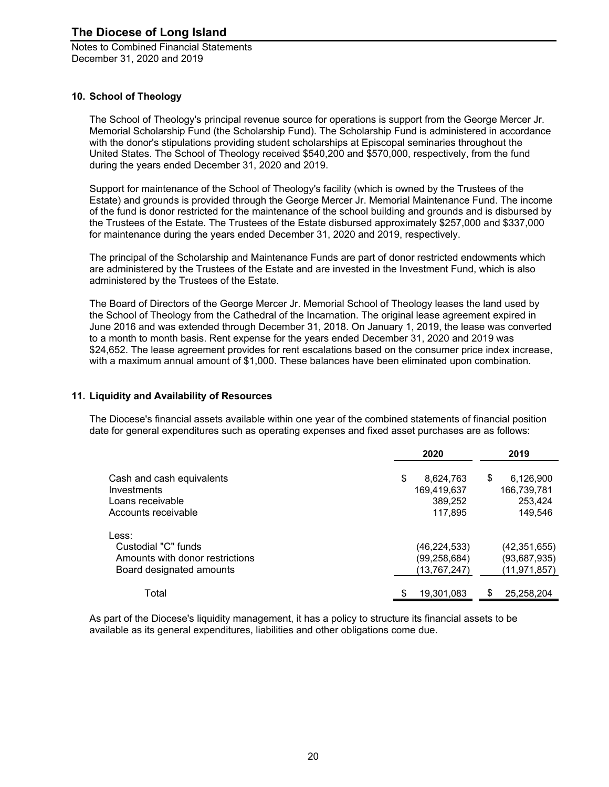#### **10. School of Theology**

The School of Theology's principal revenue source for operations is support from the George Mercer Jr. Memorial Scholarship Fund (the Scholarship Fund). The Scholarship Fund is administered in accordance with the donor's stipulations providing student scholarships at Episcopal seminaries throughout the United States. The School of Theology received \$540,200 and \$570,000, respectively, from the fund during the years ended December 31, 2020 and 2019.

Support for maintenance of the School of Theology's facility (which is owned by the Trustees of the Estate) and grounds is provided through the George Mercer Jr. Memorial Maintenance Fund. The income of the fund is donor restricted for the maintenance of the school building and grounds and is disbursed by the Trustees of the Estate. The Trustees of the Estate disbursed approximately \$257,000 and \$337,000 for maintenance during the years ended December 31, 2020 and 2019, respectively.

The principal of the Scholarship and Maintenance Funds are part of donor restricted endowments which are administered by the Trustees of the Estate and are invested in the Investment Fund, which is also administered by the Trustees of the Estate.

The Board of Directors of the George Mercer Jr. Memorial School of Theology leases the land used by the School of Theology from the Cathedral of the Incarnation. The original lease agreement expired in June 2016 and was extended through December 31, 2018. On January 1, 2019, the lease was converted to a month to month basis. Rent expense for the years ended December 31, 2020 and 2019 was \$24,652. The lease agreement provides for rent escalations based on the consumer price index increase, with a maximum annual amount of \$1,000. These balances have been eliminated upon combination.

#### **11. Liquidity and Availability of Resources**

The Diocese's financial assets available within one year of the combined statements of financial position date for general expenditures such as operating expenses and fixed asset purchases are as follows:

|                                 | 2020            | 2019             |
|---------------------------------|-----------------|------------------|
| Cash and cash equivalents       | \$<br>8,624,763 | \$<br>6,126,900  |
| Investments                     | 169,419,637     | 166,739,781      |
| Loans receivable                | 389,252         | 253,424          |
| Accounts receivable             | 117,895         | 149,546          |
| Less:                           |                 |                  |
| Custodial "C" funds             | (46, 224, 533)  | (42, 351, 655)   |
| Amounts with donor restrictions | (99, 258, 684)  | (93,687,935)     |
| Board designated amounts        | (13,767,247)    | (11, 971, 857)   |
| Total                           | 19,301,083      | \$<br>25,258,204 |

As part of the Diocese's liquidity management, it has a policy to structure its financial assets to be available as its general expenditures, liabilities and other obligations come due.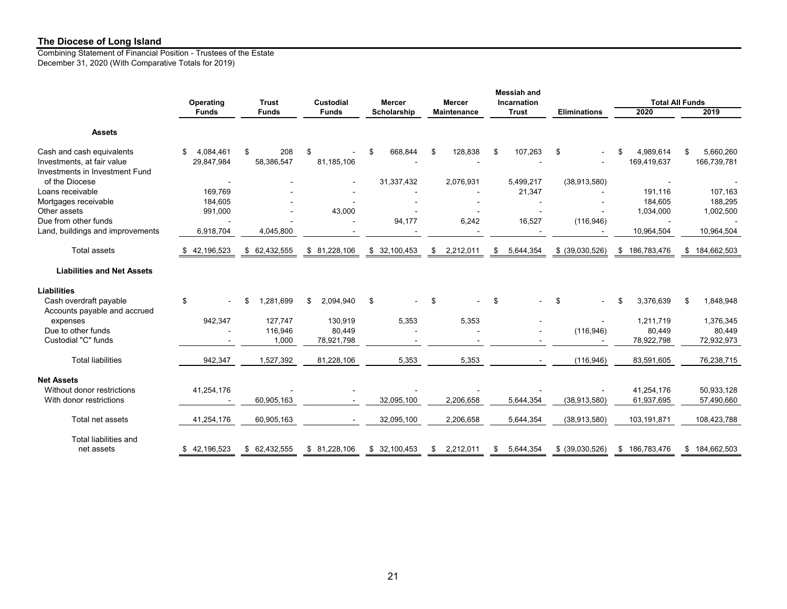Combining Statement of Financial Position - Trustees of the Estate December 31, 2020 (With Comparative Totals for 2019)

|                                                              |                  |               |                  |                                               |                    | <b>Messiah and</b> |                     |                        |                 |
|--------------------------------------------------------------|------------------|---------------|------------------|-----------------------------------------------|--------------------|--------------------|---------------------|------------------------|-----------------|
|                                                              | Operating        | <b>Trust</b>  | <b>Custodial</b> | Incarnation<br><b>Mercer</b><br><b>Mercer</b> |                    |                    |                     | <b>Total All Funds</b> |                 |
|                                                              | <b>Funds</b>     | <b>Funds</b>  | <b>Funds</b>     | Scholarship                                   | <b>Maintenance</b> | <b>Trust</b>       | <b>Eliminations</b> | 2020                   | 2019            |
| <b>Assets</b>                                                |                  |               |                  |                                               |                    |                    |                     |                        |                 |
| Cash and cash equivalents                                    | 4,084,461<br>\$  | \$<br>208     | \$               | 668,844<br>\$                                 | 128,838<br>\$      | 107,263<br>\$      | \$                  | 4,989,614              | 5,660,260<br>\$ |
| Investments, at fair value<br>Investments in Investment Fund | 29,847,984       | 58,386,547    | 81,185,106       |                                               |                    |                    |                     | 169,419,637            | 166,739,781     |
| of the Diocese                                               |                  |               |                  | 31,337,432                                    | 2,076,931          | 5,499,217          | (38, 913, 580)      |                        |                 |
| Loans receivable                                             | 169,769          |               |                  |                                               |                    | 21,347             |                     | 191,116                | 107,163         |
| Mortgages receivable                                         | 184,605          |               |                  |                                               |                    |                    |                     | 184,605                | 188,295         |
| Other assets                                                 | 991,000          |               | 43,000           |                                               |                    |                    |                     | 1,034,000              | 1,002,500       |
| Due from other funds                                         |                  |               |                  | 94,177                                        | 6,242              | 16,527             | (116, 946)          |                        |                 |
| Land, buildings and improvements                             | 6,918,704        | 4,045,800     |                  |                                               |                    |                    |                     | 10,964,504             | 10,964,504      |
| <b>Total assets</b>                                          | 42,196,523<br>\$ | \$62,432,555  | \$81,228,106     | \$32,100,453                                  | 2,212,011<br>\$    | 5,644,354<br>\$    | \$ (39,030,526)     | \$186,783,476          | \$184,662,503   |
| <b>Liabilities and Net Assets</b>                            |                  |               |                  |                                               |                    |                    |                     |                        |                 |
| <b>Liabilities</b>                                           |                  |               |                  |                                               |                    |                    |                     |                        |                 |
| Cash overdraft payable<br>Accounts payable and accrued       | \$               | 1,281,699     | \$<br>2,094,940  | \$                                            | \$                 | \$                 | \$                  | 3,376,639<br>\$        | \$<br>1,848,948 |
| expenses                                                     | 942,347          | 127,747       | 130,919          | 5,353                                         | 5,353              |                    |                     | 1,211,719              | 1,376,345       |
| Due to other funds                                           |                  | 116,946       | 80,449           |                                               |                    |                    | (116, 946)          | 80,449                 | 80,449          |
| Custodial "C" funds                                          |                  | 1,000         | 78,921,798       |                                               |                    |                    |                     | 78,922,798             | 72,932,973      |
| <b>Total liabilities</b>                                     | 942,347          | 1,527,392     | 81,228,106       | 5,353                                         | 5,353              |                    | (116, 946)          | 83,591,605             | 76,238,715      |
| <b>Net Assets</b>                                            |                  |               |                  |                                               |                    |                    |                     |                        |                 |
| Without donor restrictions                                   | 41,254,176       |               |                  |                                               |                    |                    |                     | 41,254,176             | 50,933,128      |
| With donor restrictions                                      |                  | 60,905,163    |                  | 32,095,100                                    | 2,206,658          | 5,644,354          | (38, 913, 580)      | 61,937,695             | 57,490,660      |
| Total net assets                                             | 41,254,176       | 60,905,163    |                  | 32,095,100                                    | 2,206,658          | 5,644,354          | (38, 913, 580)      | 103,191,871            | 108,423,788     |
| <b>Total liabilities and</b>                                 |                  |               |                  |                                               |                    |                    |                     |                        |                 |
| net assets                                                   | \$42,196,523     | \$ 62,432,555 | \$81,228,106     | \$32,100,453                                  | 2,212,011<br>\$    | 5,644,354<br>\$    | \$ (39,030,526)     | \$186,783,476          | \$184,662,503   |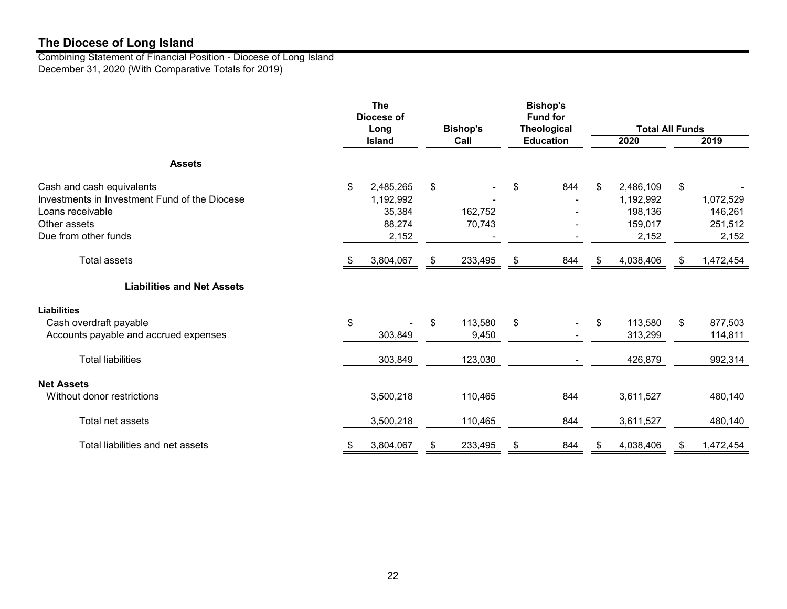Combining Statement of Financial Position - Diocese of Long Island December 31, 2020 (With Comparative Totals for 2019)

|                                                                                                                                        | <b>The</b><br>Diocese of<br>Long |                                                     |    | <b>Bishop's</b><br><b>Fund for</b><br><b>Bishop's</b><br><b>Theological</b> |                         |                  | <b>Total All Funds</b> |                                                       |    |                                          |
|----------------------------------------------------------------------------------------------------------------------------------------|----------------------------------|-----------------------------------------------------|----|-----------------------------------------------------------------------------|-------------------------|------------------|------------------------|-------------------------------------------------------|----|------------------------------------------|
|                                                                                                                                        |                                  | <b>Island</b>                                       |    | Call                                                                        |                         | <b>Education</b> |                        | 2020                                                  |    | 2019                                     |
| <b>Assets</b>                                                                                                                          |                                  |                                                     |    |                                                                             |                         |                  |                        |                                                       |    |                                          |
| Cash and cash equivalents<br>Investments in Investment Fund of the Diocese<br>Loans receivable<br>Other assets<br>Due from other funds | \$                               | 2,485,265<br>1,192,992<br>35,384<br>88,274<br>2,152 | \$ | 162,752<br>70,743                                                           | \$                      | 844              | \$                     | 2,486,109<br>1,192,992<br>198,136<br>159,017<br>2,152 | \$ | 1,072,529<br>146,261<br>251,512<br>2,152 |
| <b>Total assets</b>                                                                                                                    | -SS                              | 3,804,067                                           | S  | 233,495                                                                     | \$                      | 844              | S                      | 4,038,406                                             | S  | 1,472,454                                |
| <b>Liabilities and Net Assets</b>                                                                                                      |                                  |                                                     |    |                                                                             |                         |                  |                        |                                                       |    |                                          |
| <b>Liabilities</b><br>Cash overdraft payable<br>Accounts payable and accrued expenses                                                  | \$                               | 303,849                                             | \$ | 113,580<br>9,450                                                            | $\sqrt[6]{\frac{1}{2}}$ |                  | \$                     | 113,580<br>313,299                                    | \$ | 877,503<br>114,811                       |
| <b>Total liabilities</b>                                                                                                               |                                  | 303,849                                             |    | 123,030                                                                     |                         |                  |                        | 426,879                                               |    | 992,314                                  |
| <b>Net Assets</b><br>Without donor restrictions                                                                                        |                                  | 3,500,218                                           |    | 110,465                                                                     |                         | 844              |                        | 3,611,527                                             |    | 480,140                                  |
| Total net assets                                                                                                                       |                                  | 3,500,218                                           |    | 110,465                                                                     |                         | 844              |                        | 3,611,527                                             |    | 480,140                                  |
| Total liabilities and net assets                                                                                                       | \$                               | 3,804,067                                           | \$ | 233,495                                                                     | \$                      | 844              | \$                     | 4,038,406                                             | \$ | 1,472,454                                |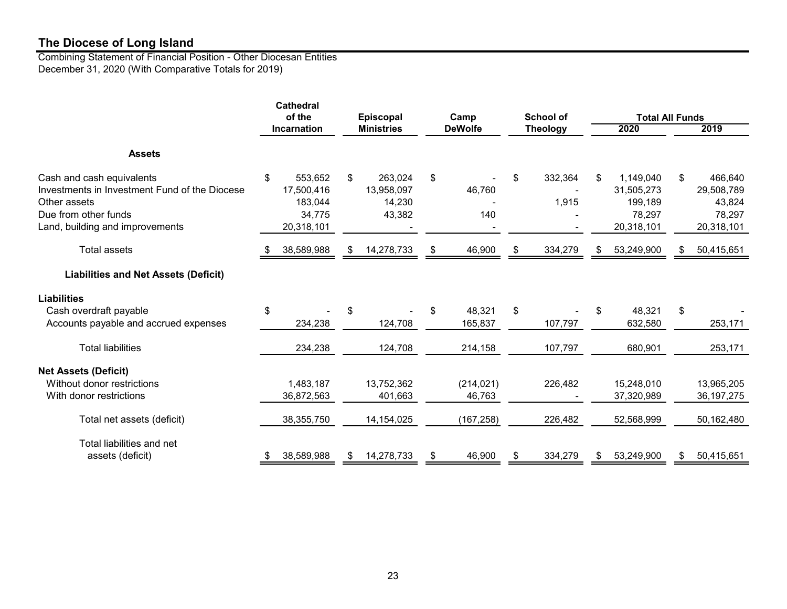Combining Statement of Financial Position - Other Diocesan Entities December 31, 2020 (With Comparative Totals for 2019)

|                                                                                                                                                       | <b>Cathedral</b><br>of the |                                                          | <b>Episcopal</b> |                                           | Camp |                      | <b>School of</b> |                  | <b>Total All Funds</b>                                           |       |                                                         |
|-------------------------------------------------------------------------------------------------------------------------------------------------------|----------------------------|----------------------------------------------------------|------------------|-------------------------------------------|------|----------------------|------------------|------------------|------------------------------------------------------------------|-------|---------------------------------------------------------|
|                                                                                                                                                       |                            | <b>Incarnation</b>                                       |                  | <b>Ministries</b>                         |      | <b>DeWolfe</b>       |                  | <b>Theology</b>  | 2020                                                             |       | 2019                                                    |
| <b>Assets</b>                                                                                                                                         |                            |                                                          |                  |                                           |      |                      |                  |                  |                                                                  |       |                                                         |
| Cash and cash equivalents<br>Investments in Investment Fund of the Diocese<br>Other assets<br>Due from other funds<br>Land, building and improvements | \$                         | 553,652<br>17,500,416<br>183.044<br>34,775<br>20,318,101 | \$               | 263,024<br>13,958,097<br>14,230<br>43,382 | \$   | 46,760<br>140        | \$               | 332,364<br>1,915 | \$<br>1,149,040<br>31,505,273<br>199,189<br>78,297<br>20,318,101 | \$    | 466,640<br>29,508,789<br>43,824<br>78,297<br>20,318,101 |
| <b>Total assets</b>                                                                                                                                   |                            | 38,589,988                                               |                  | 14,278,733                                | \$   | 46,900               | \$               | 334,279          | \$<br>53,249,900                                                 | S     | 50,415,651                                              |
| <b>Liabilities and Net Assets (Deficit)</b>                                                                                                           |                            |                                                          |                  |                                           |      |                      |                  |                  |                                                                  |       |                                                         |
| <b>Liabilities</b>                                                                                                                                    |                            |                                                          |                  |                                           |      |                      |                  |                  |                                                                  |       |                                                         |
| Cash overdraft payable<br>Accounts payable and accrued expenses                                                                                       | \$                         | 234,238                                                  |                  | 124,708                                   | \$   | 48,321<br>165,837    | \$               | 107,797          | \$<br>48,321<br>632,580                                          | $\$\$ | 253,171                                                 |
| <b>Total liabilities</b>                                                                                                                              |                            | 234,238                                                  |                  | 124,708                                   |      | 214,158              |                  | 107,797          | 680,901                                                          |       | 253,171                                                 |
| <b>Net Assets (Deficit)</b>                                                                                                                           |                            |                                                          |                  |                                           |      |                      |                  |                  |                                                                  |       |                                                         |
| Without donor restrictions<br>With donor restrictions                                                                                                 |                            | 1,483,187<br>36,872,563                                  |                  | 13,752,362<br>401,663                     |      | (214, 021)<br>46,763 |                  | 226,482          | 15,248,010<br>37,320,989                                         |       | 13,965,205<br>36, 197, 275                              |
| Total net assets (deficit)                                                                                                                            |                            | 38,355,750                                               |                  | 14,154,025                                |      | (167, 258)           |                  | 226,482          | 52,568,999                                                       |       | 50,162,480                                              |
| Total liabilities and net<br>assets (deficit)                                                                                                         | S.                         | 38,589,988                                               | S.               | 14,278,733                                | S.   | 46,900               | S                | 334,279          | \$<br>53,249,900                                                 | S     | 50,415,651                                              |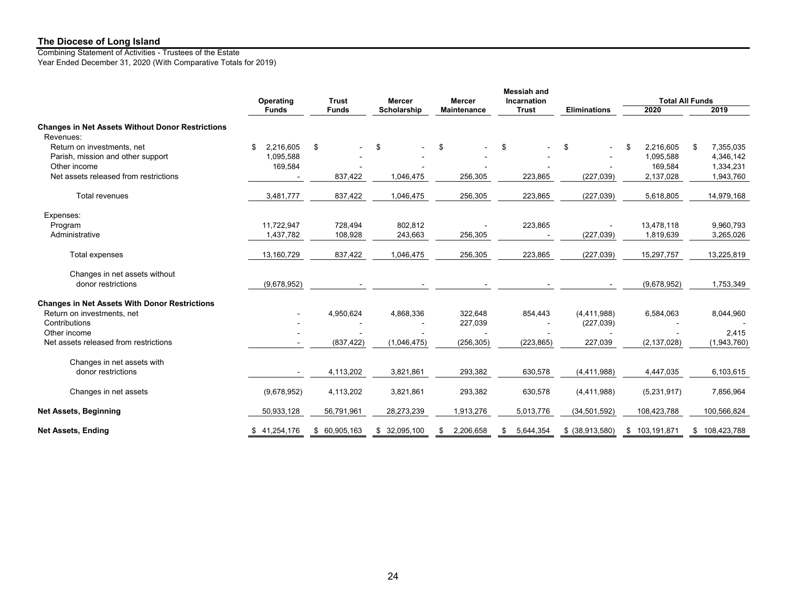Combining Statement of Activities - Trustees of the Estate Year Ended December 31, 2020 (With Comparative Totals for 2019)

|                                                                      |                  |              |               |                    | <b>Messiah and</b> |                     |               |                        |
|----------------------------------------------------------------------|------------------|--------------|---------------|--------------------|--------------------|---------------------|---------------|------------------------|
|                                                                      | Operating        | <b>Trust</b> | <b>Mercer</b> | <b>Mercer</b>      | Incarnation        |                     |               | <b>Total All Funds</b> |
|                                                                      | <b>Funds</b>     | <b>Funds</b> | Scholarship   | <b>Maintenance</b> | <b>Trust</b>       | <b>Eliminations</b> | 2020          | 2019                   |
| <b>Changes in Net Assets Without Donor Restrictions</b><br>Revenues: |                  |              |               |                    |                    |                     |               |                        |
| Return on investments, net                                           | 2,216,605<br>\$  |              |               | \$                 | \$                 |                     | 2,216,605     | 7,355,035              |
|                                                                      |                  | \$           | \$            |                    |                    | \$                  | \$            | \$                     |
| Parish, mission and other support                                    | 1,095,588        |              |               |                    |                    |                     | 1,095,588     | 4,346,142              |
| Other income                                                         | 169,584          |              |               |                    |                    |                     | 169,584       | 1,334,231              |
| Net assets released from restrictions                                |                  | 837,422      | 1,046,475     | 256,305            | 223,865            | (227, 039)          | 2,137,028     | 1,943,760              |
| Total revenues                                                       | 3,481,777        | 837,422      | 1,046,475     | 256,305            | 223,865            | (227, 039)          | 5,618,805     | 14,979,168             |
| Expenses:                                                            |                  |              |               |                    |                    |                     |               |                        |
| Program                                                              | 11,722,947       | 728,494      | 802,812       |                    | 223,865            |                     | 13,478,118    | 9,960,793              |
| Administrative                                                       | 1,437,782        | 108,928      | 243,663       | 256,305            |                    | (227, 039)          | 1,819,639     | 3,265,026              |
|                                                                      |                  |              |               |                    |                    |                     |               |                        |
| Total expenses                                                       | 13,160,729       | 837,422      | 1,046,475     | 256,305            | 223,865            | (227, 039)          | 15,297,757    | 13,225,819             |
| Changes in net assets without                                        |                  |              |               |                    |                    |                     |               |                        |
| donor restrictions                                                   | (9,678,952)      |              |               |                    |                    |                     | (9,678,952)   | 1,753,349              |
| <b>Changes in Net Assets With Donor Restrictions</b>                 |                  |              |               |                    |                    |                     |               |                        |
| Return on investments, net                                           |                  | 4,950,624    | 4,868,336     | 322,648            | 854,443            | (4,411,988)         | 6,584,063     | 8,044,960              |
| Contributions                                                        |                  |              |               | 227,039            |                    | (227, 039)          |               |                        |
| Other income                                                         |                  |              |               |                    |                    |                     |               | 2,415                  |
| Net assets released from restrictions                                |                  | (837, 422)   | (1,046,475)   | (256, 305)         | (223, 865)         | 227,039             | (2, 137, 028) | (1,943,760)            |
|                                                                      |                  |              |               |                    |                    |                     |               |                        |
| Changes in net assets with                                           |                  |              |               |                    |                    |                     |               |                        |
| donor restrictions                                                   |                  | 4,113,202    | 3,821,861     | 293,382            | 630,578            | (4, 411, 988)       | 4,447,035     | 6,103,615              |
| Changes in net assets                                                | (9,678,952)      | 4,113,202    | 3,821,861     | 293,382            | 630,578            | (4, 411, 988)       | (5,231,917)   | 7,856,964              |
| <b>Net Assets, Beginning</b>                                         | 50,933,128       | 56,791,961   | 28,273,239    | 1,913,276          | 5,013,776          | (34, 501, 592)      | 108,423,788   | 100,566,824            |
| <b>Net Assets, Ending</b>                                            | 41,254,176<br>\$ | \$60,905,163 | \$32,095,100  | 2,206,658          | 5,644,354<br>\$    | $$$ (38,913,580)    | \$103,191,871 | \$108,423,788          |
|                                                                      |                  |              |               |                    |                    |                     |               |                        |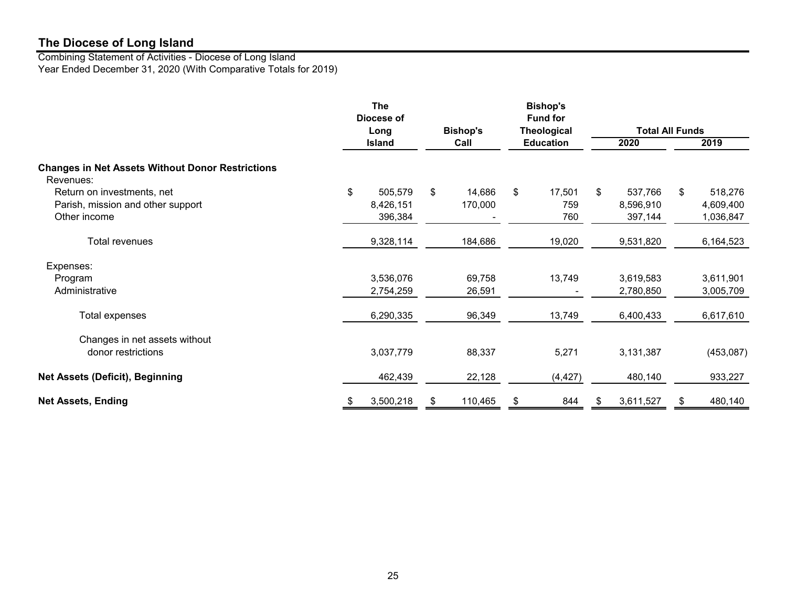Combining Statement of Activities - Diocese of Long Island Year Ended December 31, 2020 (With Comparative Totals for 2019)

|                                                                      | <b>The</b><br>Diocese of |                 |       | <b>Bishop's</b><br><b>Fund for</b> |     |                        |    |           |
|----------------------------------------------------------------------|--------------------------|-----------------|-------|------------------------------------|-----|------------------------|----|-----------|
|                                                                      | Long                     | <b>Bishop's</b> |       | <b>Theological</b>                 |     | <b>Total All Funds</b> |    |           |
|                                                                      | <b>Island</b>            | Call            |       | <b>Education</b>                   |     | 2020                   |    | 2019      |
| <b>Changes in Net Assets Without Donor Restrictions</b><br>Revenues: |                          |                 |       |                                    |     |                        |    |           |
| Return on investments, net                                           | \$<br>505,579            | \$<br>14,686    | $\$\$ | 17,501                             | \$. | 537,766                | \$ | 518,276   |
| Parish, mission and other support                                    | 8,426,151                | 170,000         |       | 759                                |     | 8,596,910              |    | 4,609,400 |
| Other income                                                         | 396,384                  |                 |       | 760                                |     | 397,144                |    | 1,036,847 |
| Total revenues                                                       | 9,328,114                | 184,686         |       | 19,020                             |     | 9,531,820              |    | 6,164,523 |
| Expenses:                                                            |                          |                 |       |                                    |     |                        |    |           |
| Program                                                              | 3,536,076                | 69,758          |       | 13,749                             |     | 3,619,583              |    | 3,611,901 |
| Administrative                                                       | 2,754,259                | 26,591          |       |                                    |     | 2,780,850              |    | 3,005,709 |
| Total expenses                                                       | 6,290,335                | 96,349          |       | 13,749                             |     | 6,400,433              |    | 6,617,610 |
| Changes in net assets without                                        |                          |                 |       |                                    |     |                        |    |           |
| donor restrictions                                                   | 3,037,779                | 88,337          |       | 5,271                              |     | 3,131,387              |    | (453,087) |
| <b>Net Assets (Deficit), Beginning</b>                               | 462,439                  | 22,128          |       | (4, 427)                           |     | 480,140                |    | 933,227   |
| <b>Net Assets, Ending</b>                                            | \$<br>3,500,218          | \$<br>110,465   | \$    | 844                                | S.  | 3,611,527              | S  | 480,140   |